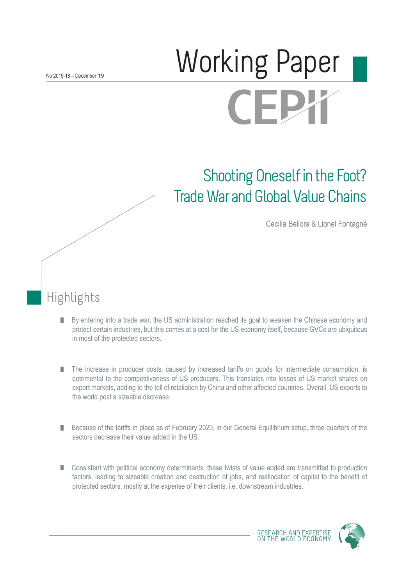# Norking Paper **CEJ**

## Shooting Oneself in the Foot? Trade War and Global Value Chains

Cecilia Bellora & Lionel Fontagné

## Highlights

- By entering into a trade war, the US administration reached its goal to weaken the Chinese economy and П protect certain industries, but this comes at a cost for the US economy itself, because GVCs are ubiquitous in most of the protected sectors.
- The increase in producer costs, caused by increased tariffs on goods for intermediate consumption, is П detrimental to the competitiveness of US producers. This translates into losses of US market shares on export markets, adding to the toll of retaliation by China and other affected countries. Overall, US exports to the world post a sizeable decrease.
- Because of the tariffs in place as of February 2020, in our General Equilibrium setup, three quarters of the П sectors decrease their value added in the US.
- Consistent with political economy determinants, these twists of value added are transmitted to production factors, leading to sizeable creation and destruction of jobs, and reallocation of capital to the benefit of protected sectors, mostly at the expense of their clients, i.e. downstream industries.

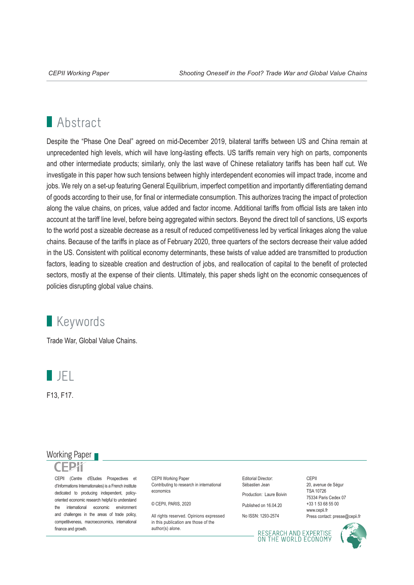## **Abstract**

Despite the "Phase One Deal" agreed on mid-December 2019, bilateral tariffs between US and China remain at unprecedented high levels, which will have long-lasting effects. US tariffs remain very high on parts, components and other intermediate products; similarly, only the last wave of Chinese retaliatory tariffs has been half cut. We investigate in this paper how such tensions between highly interdependent economies will impact trade, income and jobs. We rely on a set-up featuring General Equilibrium, imperfect competition and importantly differentiating demand of goods according to their use, for final or intermediate consumption. This authorizes tracing the impact of protection along the value chains, on prices, value added and factor income. Additional tariffs from official lists are taken into account at the tariff line level, before being aggregated within sectors. Beyond the direct toll of sanctions, US exports to the world post a sizeable decrease as a result of reduced competitiveness led by vertical linkages along the value chains. Because of the tariffs in place as of February 2020, three quarters of the sectors decrease their value added in the US. Consistent with political economy determinants, these twists of value added are transmitted to production factors, leading to sizeable creation and destruction of jobs, and reallocation of capital to the benefit of protected sectors, mostly at the expense of their clients. Ultimately, this paper sheds light on the economic consequences of policies disrupting global value chains.

## **Keywords**

Trade War, Global Value Chains.



F13, F17.

### Working Paper

CEPII (Centre d'Etudes Prospectives et d'Informations Internationales) is a French institute dedicated to producing independent, policyoriented economic research helpful to understand the international economic environment and challenges in the areas of trade policy, competitiveness, macroeconomics, international finance and growth.

CEPII Working Paper Contributing to research in international economics

© CEPII, PARIS, 2020

All rights reserved. Opinions expressed in this publication are those of the author(s) alone.

Editorial Director: Sébastien Jean Production: Laure Boivin

Published on 16.04.20

No ISSN: 1293-2574

CEPII 20, avenue de Ségur TSA 10726 75334 Paris Cedex 07 +33 1 53 68 55 00 www.cepii.fr Press contact: presse@cepii.fr

RESEARCH AND EXPERTISE<br>ON THE WORLD ECONOMY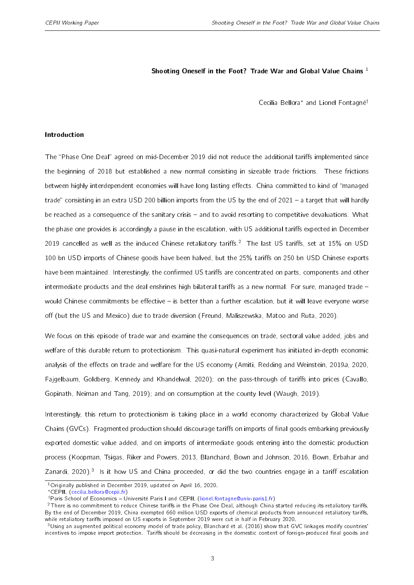#### Shooting Oneself in the Foot? Trade War and Global Value Chains<sup>1</sup>

Cecilia Bellora<sup>∗</sup> and Lionel Fontagné†

#### <span id="page-2-0"></span>Introduction

The "Phase One Deal" agreed on mid-December 2019 did not reduce the additional tariffs implemented since the beginning of 2018 but established a new normal consisting in sizeable trade frictions. These frictions between highly interdependent economies will have long lasting effects. China committed to kind of "managed trade" consisting in an extra USD 200 billion imports from the US by the end of 2021  $-$  a target that will hardly be reached as a consequence of the sanitary crisis – and to avoid resorting to competitive devaluations. What the phase one provides is accordingly a pause in the escalation, with US additional tariffs expected in December 2019 cancelled as well as the induced Chinese retaliatory tariffs.<sup>2</sup> The last US tariffs, set at 15% on USD 100 bn USD imports of Chinese goods have been halved, but the 25% tariffs on 250 bn USD Chinese exports have been maintained. Interestingly, the confirmed US tariffs are concentrated on parts, components and other intermediate products and the deal enshrines high bilateral tariffs as a new normal. For sure, managed trade would Chinese commitments be effective  $-$  is better than a further escalation, but it will leave everyone worse off (but the US and Mexico) due to trade diversion [\(Freund, Maliszewska, Matoo and Ruta,](#page-28-0) [2020\)](#page-28-0).

We focus on this episode of trade war and examine the consequences on trade, sectoral value added, jobs and welfare of this durable return to protectionism. This quasi-natural experiment has initiated in-depth economic analysis of the effects on trade and welfare for the US economy [\(Amiti, Redding and Weinstein,](#page-27-0) [2019a,](#page-27-0) [2020,](#page-27-1) [Fajgelbaum, Goldberg, Kennedy and Khandelwal,](#page-27-2) [2020\)](#page-27-2); on the pass-through of tariffs into prices [\(Cavallo,](#page-27-3) [Gopinath, Neiman and Tang,](#page-27-3) [2019\)](#page-27-3); and on consumption at the county level [\(Waugh,](#page-28-1) [2019\)](#page-28-1).

Interestingly, this return to protectionism is taking place in a world economy characterized by Global Value Chains (GVCs). Fragmented production should discourage tariffs on imports of final goods embarking previously exported domestic value added, and on imports of intermediate goods entering into the domestic production process [\(Koopman, Tsigas, Riker and Powers,](#page-28-2) [2013,](#page-28-2) [Blanchard, Bown and Johnson,](#page-27-4) [2016,](#page-27-4) [Bown, Erbahar and](#page-27-5) [Zanardi,](#page-27-5) [2020\)](#page-27-5).<sup>3</sup> Is it how US and China proceeded, or did the two countries engage in a tariff escalation

<sup>1</sup>Originally published in December 2019, updated on April 16, 2020.

<sup>∗</sup>CEPII, [\(cecilia.bellora@cepii.fr\)](mailto:cecilia.bellora@cepii.fr)

<sup>†</sup>Paris School of Economics Université Paris I and CEPII, [\(lionel.fontagne@univ-paris1.fr\)](mailto:lionel.fontagne@univ-paris1.fr)

 $2$ There is no commitment to reduce Chinese tariffs in the Phase One Deal, although China started reducing its retaliatory tariffs. By the end of December 2019, China exempted 660 million USD exports of chemical products from announced retaliatory tariffs, while retaliatory tariffs imposed on US exports in September 2019 were cut in half in February 2020.

 $3$ Using an augmented political economy model of trade policy, [Blanchard et al.](#page-27-4) [\(2016\)](#page-27-4) show that GVC linkages modify countries' incentives to impose import protection. Tariffs should be decreasing in the domestic content of foreign-produced final goods and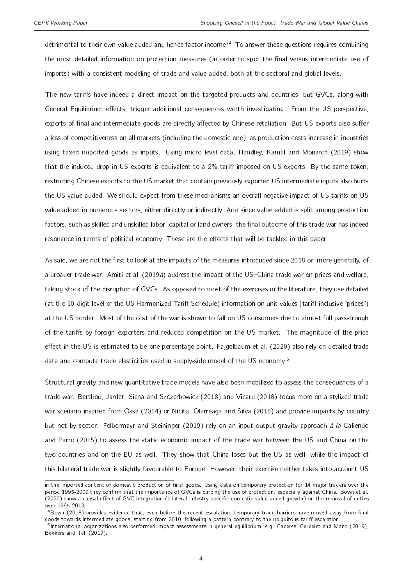detrimental to their own value added and hence factor income?[4](#page-2-0) To answer these questions requires combining the most detailed information on protection measures (in order to spot the final versus intermediate use of imports) with a consistent modeling of trade and value added, both at the sectoral and global levels.

The new tariffs have indeed a direct impact on the targeted products and countries, but GVCs, along with General Equilibrium effects, trigger additional consequences worth investigating. From the US perspective, exports of final and intermediate goods are directly affected by Chinese retaliation. But US exports also suffer a loss of competitiveness on all markets (including the domestic one), as production costs increase in industries using taxed imported goods as inputs. Using micro level data, [Handley, Kamal and Monarch](#page-28-3) [\(2019\)](#page-28-3) show that the induced drop in US exports is equivalent to a 2% tariff imposed on US exports. By the same token, restricting Chinese exports to the US market that contain previously exported US intermediate inputs also hurts the US value added. We should expect from these mechanisms an overall negative impact of US tariffs on US value added in numerous sectors, either directly or indirectly. And since value added is split among production factors, such as skilled and unskilled labor, capital or land owners, the final outcome of this trade war has indeed resonance in terms of political economy. These are the effects that will be tackled in this paper.

As said, we are not the first to look at the impacts of the measures introduced since 2018 or, more generally, of a broader trade war. [Amiti et al.](#page-27-0) [\(2019a\)](#page-27-0) address the impact of the US-China trade war on prices and welfare, taking stock of the disruption of GVCs. As opposed to most of the exercises in the literature, they use detailed (at the 10-digit level of the US Harmonized Tariff Schedule) information on unit values (tariff-inclusive "prices") at the US border. Most of the cost of the war is shown to fall on US consumers due to almost full pass-trough of the tariffs by foreign exporters and reduced competition on the US market. The magnitude of the price effect in the US is estimated to be one percentage point. [Fajgelbaum et al.](#page-27-2) [\(2020\)](#page-27-2) also rely on detailed trade data and compute trade elasticities used in supply-side model of the US economy.<sup>[5](#page-2-0)</sup>

Structural gravity and new quantitative trade models have also been mobilized to assess the consequences of a trade war. [Berthou, Jardet, Siena and Szczerbowicz](#page-27-6) [\(2018\)](#page-27-6) and [Vicard](#page-28-4) [\(2018\)](#page-28-4) focus more on a stylized trade war scenario inspired from [Ossa](#page-28-5) [\(2014\)](#page-28-5) or [Nicita, Olarreaga and Silva](#page-28-6) [\(2018\)](#page-28-6) and provide impacts by country but not by sector. [Felbermayr and Steininger](#page-27-7) [\(2019\)](#page-27-7) rely on an input-output gravity approach à la [Caliendo](#page-27-8) [and Parro](#page-27-8) [\(2015\)](#page-27-8) to assess the static economic impact of the trade war between the US and China on the two countries and on the EU as well. They show that China loses but the US as well, while the impact of this bilateral trade war is slightly favourable to Europe. However, their exercise neither takes into account US

in the imported content of domestic production of final goods. Using data on temporary protection for 14 major traders over the period 1995-2009 they confirm that the importance of GVCs is curbing the use of protection, especially against China. [Bown et al.](#page-27-5) [\(2020\)](#page-27-5) show a causal effect of GVC integration (bilateral industry-specific domestic value-added growth) on the removal of duties over 1995-2013.

<sup>4</sup>[Bown](#page-27-9) [\(2018\)](#page-27-9) provides evidence that, even before the recent escalation, temporary trade barriers have moved away from final goods towards intermediate goods, starting from 2010, following a pattern contrary to the ubiquitous tariff escalation.

<sup>&</sup>lt;sup>5</sup>International organizations also performed impact assessments in general equilibrium, e.g. [Caceres, Cerdeiro and Mano](#page-27-10) [\(2019\)](#page-27-10), [Bekkers and Teh](#page-27-11) [\(2019\)](#page-27-11).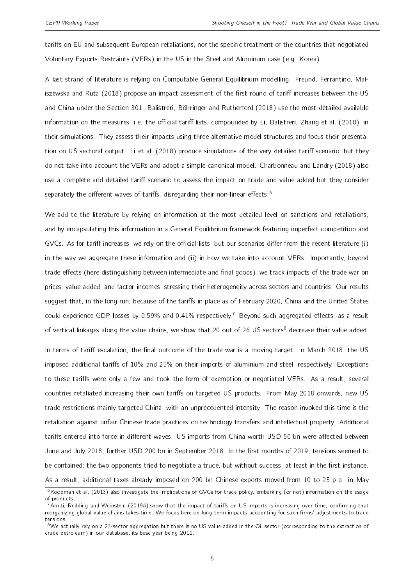tariffs on EU and subsequent European retaliations, nor the specific treatment of the countries that negotiated Voluntary Exports Restraints (VERs) in the US in the Steel and Aluminum case (e.g. Korea).

A last strand of literature is relying on Computable General Equilibrium modelling. [Freund, Ferrantino, Mal](#page-28-7)[iszewska and Ruta](#page-28-7) [\(2018\)](#page-28-7) propose an impact assessment of the first round of tariff increases between the US and China under the Section 301. [Balistreri, Böhringer and Rutherford](#page-27-12) [\(2018\)](#page-27-12) use the most detailed available information on the measures, i.e. the official tariff lists, compounded by [Li, Balistreri, Zhang et al.](#page-28-8) [\(2018\)](#page-28-8), in their simulations. They assess their impacts using three alternative model structures and focus their presenta-tion on US sectoral output. [Li et al.](#page-28-8) [\(2018\)](#page-28-8) produce simulations of the very detailed tariff scenario, but they do not take into account the VERs and adopt a simple canonical model. [Charbonneau and Landry](#page-27-13) [\(2018\)](#page-27-13) also use a complete and detailed tariff scenario to assess the impact on trade and value added but they consider separately the different waves of tariffs, disregarding their non-linear effects.<sup>[6](#page-2-0)</sup>

We add to the literature by relying on information at the most detailed level on sanctions and retaliations, and by encapsulating this information in a General Equilibrium framework featuring imperfect competition and GVCs. As for tariff increases, we rely on the official lists, but our scenarios differ from the recent literature (i) in the way we aggregate these information and (ii) in how we take into account VERs. Importantly, beyond trade effects (here distinguishing between intermediate and final goods), we track impacts of the trade war on prices, value added, and factor incomes, stressing their heterogeneity across sectors and countries. Our results suggest that, in the long run, because of the tariffs in place as of February 2020, China and the United States could experience GDP losses by 0.59% and 0.41% respectively.<sup>[7](#page-2-0)</sup> Beyond such aggregated effects, as a result of vertical linkages along the value chains, we show that 20 out of 26 US sectors<sup>[8](#page-2-0)</sup> decrease their value added.

In terms of tariff escalation, the final outcome of the trade war is a moving target. In March 2018, the US imposed additional tariffs of 10% and 25% on their imports of aluminium and steel, respectively. Exceptions to these tariffs were only a few and took the form of exemption or negotiated VERs. As a result, several countries retaliated increasing their own tariffs on targeted US products. From May 2018 onwards, new US trade restrictions mainly targeted China, with an unprecedented intensity. The reason invoked this time is the retaliation against unfair Chinese trade practices on technology transfers and intellectual property. Additional tariffs entered into force in different waves: US imports from China worth USD 50 bn were affected between June and July 2018, further USD 200 bn in September 2018. In the first months of 2019, tensions seemed to be contained; the two opponents tried to negotiate a truce, but without success, at least in the first instance. As a result, additional taxes already imposed on 200 bn Chinese exports moved from 10 to 25 p.p. in May

<sup>&</sup>lt;sup>6</sup>[Koopman et al.](#page-28-2) [\(2013\)](#page-28-2) also investigate the implications of GVCs for trade policy, embarking (or not) information on the usage of products.

 $7$ [Amiti, Redding and Weinstein](#page-27-14) [\(2019b\)](#page-27-14) show that the impact of tariffs on US imports is increasing over time, confirming that reorganizing global value chains takes time. We focus here on long term impacts accounting for such firms' adjustments to trade tensions.

 $8$ We actually rely on a 27-sector aggregation but there is no US value added in the Oil sector (corresponding to the extraction of crude petroleum) in our database, its base year being 2011.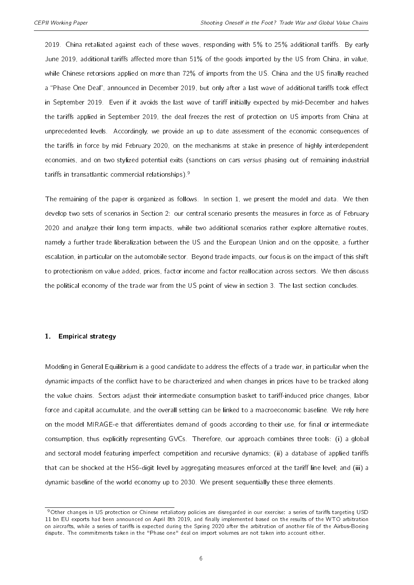2019. China retaliated against each of these waves, responding with 5% to 25% additional tariffs. By early June 2019, additional tariffs affected more than 51% of the goods imported by the US from China, in value, while Chinese retorsions applied on more than 72% of imports from the US. China and the US finally reached a "Phase One Deal", announced in December 2019, but only after a last wave of additional tariffs took effect in September 2019. Even if it avoids the last wave of tariff initially expected by mid-December and halves the tariffs applied in September 2019, the deal freezes the rest of protection on US imports from China at unprecedented levels. Accordingly, we provide an up to date assessment of the economic consequences of the tariffs in force by mid February 2020, on the mechanisms at stake in presence of highly interdependent economies, and on two stylized potential exits (sanctions on cars versus phasing out of remaining industrial tariffs in transatlantic commercial relationships).<sup>[9](#page-2-0)</sup>

The remaining of the paper is organized as follows. In section [1,](#page-5-0) we present the model and data. We then develop two sets of scenarios in Section [2:](#page-9-0) our central scenario presents the measures in force as of February 2020 and analyze their long term impacts, while two additional scenarios rather explore alternative routes, namely a further trade liberalization between the US and the European Union and on the opposite, a further escalation, in particular on the automobile sector. Beyond trade impacts, our focus is on the impact of this shift to protectionism on value added, prices, factor income and factor reallocation across sectors. We then discuss the political economy of the trade war from the US point of view in section [3.](#page-23-0) The last section concludes.

#### <span id="page-5-0"></span>1. Empirical strategy

Modeling in General Equilibrium is a good candidate to address the effects of a trade war, in particular when the dynamic impacts of the conflict have to be characterized and when changes in prices have to be tracked along the value chains. Sectors adjust their intermediate consumption basket to tariff-induced price changes, labor force and capital accumulate, and the overall setting can be linked to a macroeconomic baseline. We rely here on the model MIRAGE-e that differentiates demand of goods according to their use, for final or intermediate consumption, thus explicitly representing GVCs. Therefore, our approach combines three tools: (i) a global and sectoral model featuring imperfect competition and recursive dynamics; (ii) a database of applied tariffs that can be shocked at the HS6-digit level by aggregating measures enforced at the tariff line level; and (iii) a dynamic baseline of the world economy up to 2030. We present sequentially these three elements.

<sup>&</sup>lt;sup>9</sup>Other changes in US protection or Chinese retaliatory policies are disregarded in our exercise: a series of tariffs targeting USD 11 bn EU exports had been announced on April 8th 2019, and finally implemented based on the results of the WTO arbitration on aircrafts, while a series of tariffs is expected during the Spring 2020 after the arbitration of another file of the Airbus-Boeing dispute. The commitments taken in the "Phase one" deal on import volumes are not taken into account either.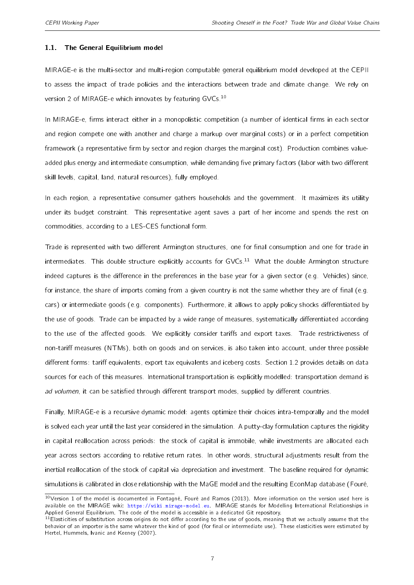#### 1.1. The General Equilibrium model

MIRAGE-e is the multi-sector and multi-region computable general equilibrium model developed at the CEPII to assess the impact of trade policies and the interactions between trade and climate change. We rely on version 2 of MIRAGE-e which innovates by featuring GVCs.[10](#page-2-0)

In MIRAGE-e, firms interact either in a monopolistic competition (a number of identical firms in each sector and region compete one with another and charge a markup over marginal costs) or in a perfect competition framework (a representative firm by sector and region charges the marginal cost). Production combines valueadded plus energy and intermediate consumption, while demanding five primary factors (labor with two different skill levels, capital, land, natural resources), fully employed.

In each region, a representative consumer gathers households and the government. It maximizes its utility under its budget constraint. This representative agent saves a part of her income and spends the rest on commodities, according to a LES-CES functional form.

Trade is represented with two different Armington structures, one for final consumption and one for trade in intermediates. This double structure explicitly accounts for GVCs.<sup>[11](#page-2-0)</sup> What the double Armington structure indeed captures is the difference in the preferences in the base year for a given sector (e.g. Vehicles) since, for instance, the share of imports coming from a given country is not the same whether they are of final (e.g. cars) or intermediate goods (e.g. components). Furthermore, it allows to apply policy shocks differentiated by the use of goods. Trade can be impacted by a wide range of measures, systematically differentiated according to the use of the affected goods. We explicitly consider tariffs and export taxes. Trade restrictiveness of non-tariff measures (NTMs), both on goods and on services, is also taken into account, under three possible different forms: tariff equivalents, export tax equivalents and iceberg costs. Section [1.2](#page-7-0) provides details on data sources for each of this measures. International transportation is explicitly modelled: transportation demand is ad volumen, it can be satisfied through different transport modes, supplied by different countries.

Finally, MIRAGE-e is a recursive dynamic model: agents optimize their choices intra-temporally and the model is solved each year until the last year considered in the simulation. A putty-clay formulation captures the rigidity in capital reallocation across periods: the stock of capital is immobile, while investments are allocated each year across sectors according to relative return rates. In other words, structural adjustments result from the inertial reallocation of the stock of capital via depreciation and investment. The baseline required for dynamic simulations is calibrated in close relationship with the MaGE model and the resulting EconMap database [\(Fouré,](#page-27-15)

 $10$ Version 1 of the model is documented in [Fontagné, Fouré and Ramos](#page-27-16) [\(2013\). More information on the version used here is](#page-27-15) available on the MIRAGE wiki: [https://wiki.mirage-model.eu. MIRAGE stands for Modelling International Relationships in](#page-27-15) [Applied General Equilibrium. The code of the model is accessible in a dedicated Git repository.](#page-27-15)

 $11$ Elasticities of substitution across origins do not differ according to the use of goods, meaning that we actually assume that the behavior of an importer is the same whatever the kind of good (for final or intermediate use). These elasticities were estimated by [Hertel, Hummels, Ivanic and Keeney](#page-27-15) [\(2007\)](#page-28-9).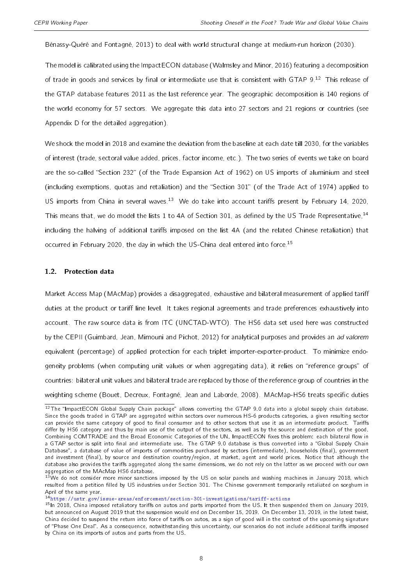[Bénassy-Quéré and Fontagné,](#page-27-15) [2013\)](#page-27-15) to deal with world structural change at medium-run horizon (2030).

The model is calibrated using the ImpactECON database [\(Walmsley and Minor,](#page-28-10) [2016\)](#page-28-10) featuring a decomposition of trade in goods and services by final or intermediate use that is consistent with GTAP 9.<sup>[12](#page-2-0)</sup> This release of the GTAP database features 2011 as the last reference year. The geographic decomposition is 140 regions of the world economy for 57 sectors. We aggregate this data into 27 sectors and 21 regions or countries (see Appendix [D](#page-34-0) for the detailed aggregation).

We shock the model in 2018 and examine the deviation from the baseline at each date till 2030, for the variables of interest (trade, sectoral value added, prices, factor income, etc.). The two series of events we take on board are the so-called "Section 232" (of the Trade Expansion Act of 1962) on US imports of aluminium and steel (including exemptions, quotas and retaliation) and the "Section 301" (of the Trade Act of 1974) applied to US imports from China in several waves.<sup>[13](#page-2-0)</sup> We do take into account tariffs present by February 14, 2020, This means that, we do model the lists 1 to 4A of Section 301, as defined by the US Trade Representative,<sup>[14](#page-2-0)</sup> including the halving of additional tariffs imposed on the list 4A (and the related Chinese retaliation) that occurred in February 2020, the day in which the US-China deal entered into force.<sup>[15](#page-2-0)</sup>

#### <span id="page-7-0"></span>1.2. Protection data

Market Access Map (MAcMap) provides a disaggregated, exhaustive and bilateral measurement of applied tariff duties at the product or tariff line level. It takes regional agreements and trade preferences exhaustively into account. The raw source data is from ITC (UNCTAD-WTO). The HS6 data set used here was constructed by the CEPII [\(Guimbard, Jean, Mimouni and Pichot,](#page-28-11) [2012\)](#page-28-11) for analytical purposes and provides an ad valorem equivalent (percentage) of applied protection for each triplet importer-exporter-product. To minimize endogeneity problems (when computing unit values or when aggregating data), it relies on "reference groups" of countries: bilateral unit values and bilateral trade are replaced by those of the reference group of countries in the weighting scheme [\(Bouet, Decreux, Fontagné, Jean and Laborde,](#page-27-17) [2008\)](#page-27-17). MAcMap-HS6 treats specific duties

 $12$ The "ImpactECON Global Supply Chain package" allows converting the GTAP 9.0 data into a global supply chain database. Since the goods traded in GTAP are aggregated within sectors over numerous HS-6 products categories, a given resulting sector can provide the same category of good to final consumer and to other sectors that use it as an intermediate product. Tariffs differ by HS6 category and thus by main use of the output of the sectors, as well as by the source and destination of the good. Combining COMTRADE and the Broad Economic Categories of the UN, ImpactECON fixes this problem: each bilateral flow in a GTAP sector is split into final and intermediate use. The GTAP 9.0 database is thus converted into a "Global Supply Chain Database", a database of value of imports of commodities purchased by sectors (intermediate), households (final), government and investment (final), by source and destination country/region, at market, agent and world prices. Notice that although the database also provides the tariffs aggregated along the same dimensions, we do not rely on the latter as we proceed with our own aggregation of the MAcMap HS6 database.

 $13$ We do not consider more minor sanctions imposed by the US on solar panels and washing machines in January 2018, which resulted from a petition filled by US industries under Section 301. The Chinese government temporarily retaliated on sorghum in April of the same year.

<sup>14</sup>[https://ustr.gov/issue-areas/enforcement/section-301-investigations/tariff-actions](https://ustr.gov/issue-areas/enforcement /section-301-investigations/tariff-actions)

 $15$ In 2018, China imposed retaliatory tariffs on autos and parts imported from the US. It then suspended them on January 2019, but announced on August 2019 that the suspension would end on December 15, 2019. On December 13, 2019, in the latest twist, China decided to suspend the return into force of tariffs on autos, as a sign of good will in the context of the upcoming signature of "Phase One Deal". As a consequence, notwithstanding this uncertainty, our scenarios do not include additional tariffs imposed by China on its imports of autos and parts from the US.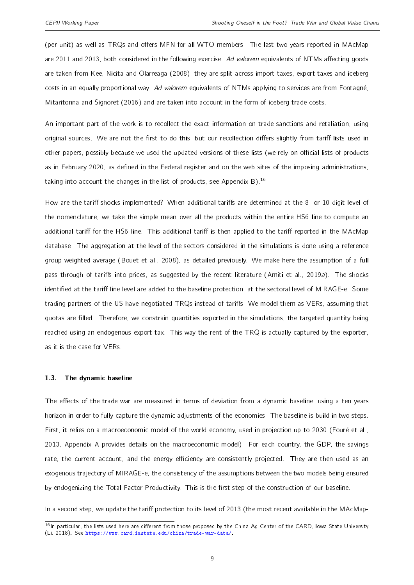(per unit) as well as TRQs and offers MFN for all WTO members. The last two years reported in MAcMap are 2011 and 2013, both considered in the following exercise. Ad valorem equivalents of NTMs affecting goods are taken from [Kee, Nicita and Olarreaga](#page-28-12) [\(2008\)](#page-28-12), they are split across import taxes, export taxes and iceberg costs in an equally proportional way. Ad valorem equivalents of NTMs applying to services are from [Fontagné,](#page-27-18) [Mitaritonna and Signoret](#page-27-18) [\(2016\)](#page-27-18) and are taken into account in the form of iceberg trade costs.

An important part of the work is to recollect the exact information on trade sanctions and retaliation, using original sources. We are not the first to do this, but our recollection differs slightly from tariff lists used in other papers, possibly because we used the updated versions of these lists (we rely on official lists of products as in February 2020, as defined in the Federal register and on the web sites of the imposing administrations, taking into account the changes in the list of products, see Appendix [B\)](#page-29-0).[16](#page-2-0)

How are the tariff shocks implemented? When additional tariffs are determined at the 8- or 10-digit level of the nomenclature, we take the simple mean over all the products within the entire HS6 line to compute an additional tariff for the HS6 line. This additional tariff is then applied to the tariff reported in the MAcMap database. The aggregation at the level of the sectors considered in the simulations is done using a reference group weighted average [\(Bouet et al.,](#page-27-17) [2008\)](#page-27-17), as detailed previously. We make here the assumption of a full pass through of tariffs into prices, as suggested by the recent literature [\(Amiti et al.,](#page-27-0) [2019a\)](#page-27-0). The shocks identified at the tariff line level are added to the baseline protection, at the sectoral level of MIRAGE-e. Some trading partners of the US have negotiated TRQs instead of tariffs. We model them as VERs, assuming that quotas are filled. Therefore, we constrain quantities exported in the simulations, the targeted quantity being reached using an endogenous export tax. This way the rent of the TRQ is actually captured by the exporter, as it is the case for VERs.

#### 1.3. The dynamic baseline

The effects of the trade war are measured in terms of deviation from a dynamic baseline, using a ten years horizon in order to fully capture the dynamic adjustments of the economies. The baseline is build in two steps. First, it relies on a macroeconomic model of the world economy, used in projection up to 2030 [\(Fouré et al.,](#page-27-15) [2013,](#page-27-15) Appendix [A](#page-29-1) provides details on the macroeconomic model). For each country, the GDP, the savings rate, the current account, and the energy efficiency are consistently projected. They are then used as an exogenous trajectory of MIRAGE-e, the consistency of the assumptions between the two models being ensured by endogenizing the Total Factor Productivity. This is the first step of the construction of our baseline.

In a second step, we update the tariff protection to its level of 2013 (the most recent available in the MAcMap-

 $16$ In particular, the lists used here are different from those proposed by the China Ag Center of the CARD, Iowa State University [\(Li,](#page-28-13) [2018\)](#page-28-13). See [https://www.card.iastate.edu/china/trade-war-data/.](https://www.card.iastate.edu/china/trade-war-data/)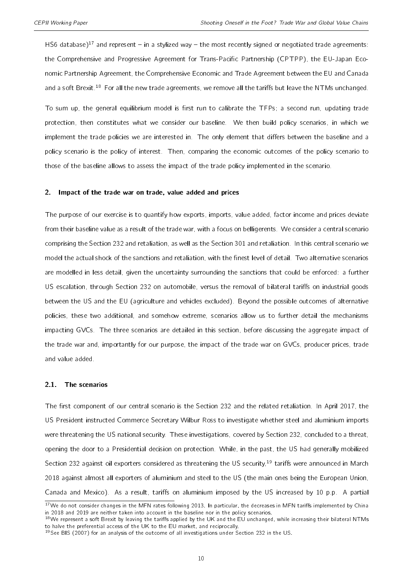HS6 database)<sup>[17](#page-2-0)</sup> and represent – in a stylized way – the most recently signed or negotiated trade agreements: the Comprehensive and Progressive Agreement for Trans-Pacific Partnership (CPTPP), the EU-Japan Economic Partnership Agreement, the Comprehensive Economic and Trade Agreement between the EU and Canada and a soft Brexit.<sup>[18](#page-2-0)</sup> For all the new trade agreements, we remove all the tariffs but leave the NTMs unchanged.

To sum up, the general equilibrium model is first run to calibrate the TFPs; a second run, updating trade protection, then constitutes what we consider our baseline. We then build policy scenarios, in which we implement the trade policies we are interested in. The only element that differs between the baseline and a policy scenario is the policy of interest. Then, comparing the economic outcomes of the policy scenario to those of the baseline allows to assess the impact of the trade policy implemented in the scenario.

#### <span id="page-9-0"></span>2. Impact of the trade war on trade, value added and prices

The purpose of our exercise is to quantify how exports, imports, value added, factor income and prices deviate from their baseline value as a result of the trade war, with a focus on belligerents. We consider a central scenario comprising the Section 232 and retaliation, as well as the Section 301 and retaliation. In this central scenario we model the actual shock of the sanctions and retaliation, with the finest level of detail. Two alternative scenarios are modelled in less detail, given the uncertainty surrounding the sanctions that could be enforced: a further US escalation, through Section 232 on automobile, versus the removal of bilateral tariffs on industrial goods between the US and the EU (agriculture and vehicles excluded). Beyond the possible outcomes of alternative policies, these two additional, and somehow extreme, scenarios allow us to further detail the mechanisms impacting GVCs. The three scenarios are detailed in this section, before discussing the aggregate impact of the trade war and, importantly for our purpose, the impact of the trade war on GVCs, producer prices, trade and value added.

#### 2.1. The scenarios

The first component of our central scenario is the Section 232 and the related retaliation. In April 2017, the US President instructed Commerce Secretary Wilbur Ross to investigate whether steel and aluminium imports were threatening the US national security. These investigations, covered by Section 232, concluded to a threat, opening the door to a Presidential decision on protection. While, in the past, the US had generally mobilized Section 232 against oil exporters considered as threatening the US security,<sup>[19](#page-2-0)</sup> tariffs were announced in March 2018 against almost all exporters of aluminium and steel to the US (the main ones being the European Union, Canada and Mexico). As a result, tariffs on aluminium imposed by the US increased by 10 p.p. A partial

<sup>&</sup>lt;sup>17</sup>We do not consider changes in the MFN rates following 2013. In particular, the decreases in MFN tariffs implemented by China in 2018 and 2019 are neither taken into account in the baseline nor in the policy scenarios.

 $18$ We represent a soft Brexit by leaving the tariffs applied by the UK and the EU unchanged, while increasing their bilateral NTMs to halve the preferential access of the UK to the EU market, and reciprocally.

 $19$ See [BIS](#page-27-19) [\(2007\)](#page-27-19) for an analysis of the outcome of all investigations under Section 232 in the US.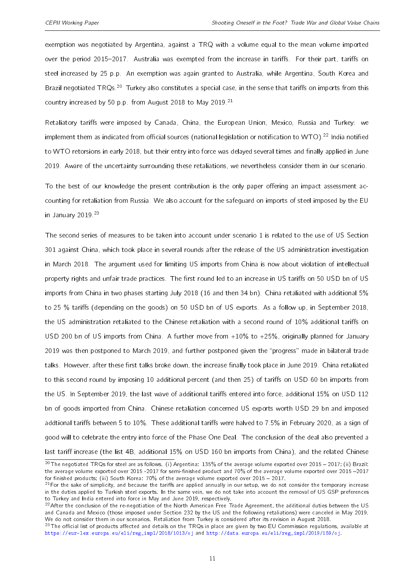exemption was negotiated by Argentina, against a TRQ with a volume equal to the mean volume imported over the period 2015-2017. Australia was exempted from the increase in tariffs. For their part, tariffs on steel increased by 25 p.p. An exemption was again granted to Australia, while Argentina, South Korea and Brazil negotiated TRQs.<sup>[20](#page-2-0)</sup> Turkey also constitutes a special case, in the sense that tariffs on imports from this country increased by 50 p.p. from August 2018 to May 2019.<sup>[21](#page-2-0)</sup>

Retaliatory tariffs were imposed by Canada, China, the European Union, Mexico, Russia and Turkey: we implement them as indicated from official sources (national legislation or notification to WTO).<sup>[22](#page-2-0)</sup> India notified to WTO retorsions in early 2018, but their entry into force was delayed several times and finally applied in June 2019. Aware of the uncertainty surrounding these retaliations, we nevertheless consider them in our scenario.

To the best of our knowledge the present contribution is the only paper offering an impact assessment accounting for retaliation from Russia. We also account for the safeguard on imports of steel imposed by the EU in January 2019.<sup>[23](#page-2-0)</sup>

The second series of measures to be taken into account under scenario 1 is related to the use of US Section 301 against China, which took place in several rounds after the release of the US administration investigation in March 2018. The argument used for limiting US imports from China is now about violation of intellectual property rights and unfair trade practices. The first round led to an increase in US tariffs on 50 USD bn of US imports from China in two phases starting July 2018 (16 and then 34 bn). China retaliated with additional 5% to 25 % tariffs (depending on the goods) on 50 USD bn of US exports. As a follow up, in September 2018, the US administration retaliated to the Chinese retaliation with a second round of 10% additional tariffs on USD 200 bn of US imports from China. A further move from +10% to +25%, originally planned for January 2019 was then postponed to March 2019, and further postponed given the "progress" made in bilateral trade talks. However, after these first talks broke down, the increase finally took place in June 2019. China retaliated to this second round by imposing 10 additional percent (and then 25) of tariffs on USD 60 bn imports from the US. In September 2019, the last wave of additional tariffs entered into force, additional 15% on USD 112 bn of goods imported from China. Chinese retaliation concerned US exports worth USD 29 bn and imposed addtional tariffs between 5 to 10%. These additional tariffs were halved to 7.5% in February 2020, as a sign of good will to celebrate the entry into force of the Phase One Deal. The conclusion of the deal also prevented a last tariff increase (the list 4B, additional 15% on USD 160 bn imports from China), and the related Chinese

 $20$ The negotiated TRQs for steel are as follows. (i) Argentina: 135% of the average volume exported over 2015 - 2017; (ii) Brazil: the average volume exported over 2015 -2017 for semi-finished product and 70% of the average volume exported over 2015 -2017 for finished products; (iii) South Korea:  $70\%$  of the average volume exported over  $2015 - 2017$ .

 $21$ For the sake of simplicity, and because the tariffs are applied annually in our setup, we do not consider the temporary increase in the duties applied to Turkish steel exports. In the same vein, we do not take into account the removal of US GSP preferences to Turkey and India entered into force in May and June 2019, respectively.

 $^{22}$ After the conclusion of the re-negotiation of the North American Free Trade Agreement, the additional duties between the US and Canada and Mexico (those imposed under Section 232 by the US and the following retaliations) were canceled in May 2019. We do not consider them in our scenarios. Retaliation from Turkey is considered after its revision in August 2018.

 $^{23}$ The official list of products affected and details on the TRQs in place are given by two EU Commission regulations, available at [https://eur-lex.europa.eu/eli/reg\\_impl/2018/1013/oj](https://eur-lex.europa.eu/eli/reg_impl/2018/1013/oj) and [http://data.europa.eu/eli/reg\\_impl/2019/159/oj.](http://data.europa.eu/eli/reg_impl/2019/159/oj)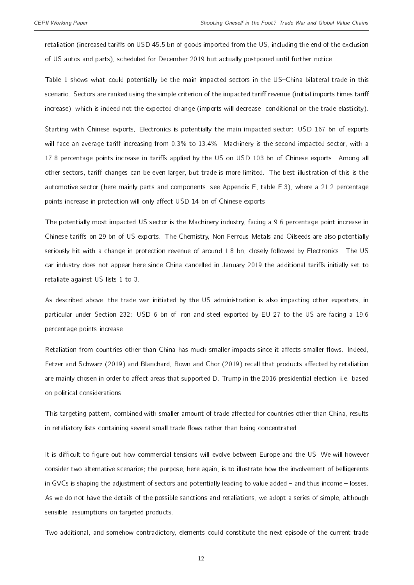retaliation (increased tariffs on USD 45.5 bn of goods imported from the US, including the end of the exclusion of US autos and parts), scheduled for December 2019 but actually postponed until further notice.

Table [1](#page-12-0) shows what could potentially be the main impacted sectors in the US-China bilateral trade in this scenario. Sectors are ranked using the simple criterion of the impacted tariff revenue (initial imports times tariff increase), which is indeed not the expected change (imports will decrease, conditional on the trade elasticity).

Starting with Chinese exports, Electronics is potentially the main impacted sector: USD 167 bn of exports will face an average tariff increasing from 0.3% to 13.4%. Machinery is the second impacted sector, with a 17.8 percentage points increase in tariffs applied by the US on USD 103 bn of Chinese exports. Among all other sectors, tariff changes can be even larger, but trade is more limited. The best illustration of this is the automotive sector (here mainly parts and components, see Appendix [E,](#page-35-0) table [E.3\)](#page-35-1), where a 21.2 percentage points increase in protection will only affect USD 14 bn of Chinese exports.

The potentially most impacted US sector is the Machinery industry, facing a 9.6 percentage point increase in Chinese tariffs on 29 bn of US exports. The Chemistry, Non Ferrous Metals and Oilseeds are also potentially seriously hit with a change in protection revenue of around 1.8 bn, closely followed by Electronics. The US car industry does not appear here since China cancelled in January 2019 the additional tariffs initially set to retaliate against US lists 1 to 3.

As described above, the trade war initiated by the US administration is also impacting other exporters, in particular under Section 232: USD 6 bn of Iron and steel exported by EU 27 to the US are facing a 19.6 percentage points increase.

Retaliation from countries other than China has much smaller impacts since it affects smaller flows. Indeed, [Fetzer and Schwarz](#page-27-20) [\(2019\)](#page-27-21) and [Blanchard, Bown and Chor](#page-27-21) (2019) recall that products affected by retaliation are mainly chosen in order to affect areas that supported D. Trump in the 2016 presidential election, i.e. based on political considerations.

This targeting pattern, combined with smaller amount of trade affected for countries other than China, results in retaliatory lists containing several small trade flows rather than being concentrated.

It is difficult to figure out how commercial tensions will evolve between Europe and the US. We will however consider two alternative scenarios; the purpose, here again, is to illustrate how the involvement of belligerents in GVCs is shaping the adjustment of sectors and potentially leading to value added  $-$  and thus income  $-$  losses. As we do not have the details of the possible sanctions and retaliations, we adopt a series of simple, although sensible, assumptions on targeted products.

Two additional, and somehow contradictory, elements could constitute the next episode of the current trade

12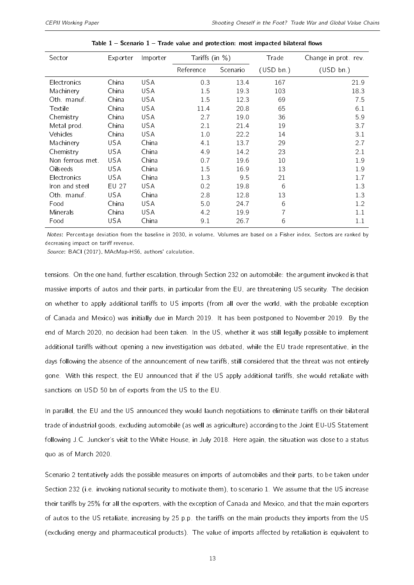<span id="page-12-0"></span>

| Sector           | Exporter   | Importer   | Tariffs (in %) |          | Trade     | Change in prot rev. |
|------------------|------------|------------|----------------|----------|-----------|---------------------|
|                  |            |            | Reference      | Scenario | (USD bn.) | (USD bn.)           |
| Electronics      | China      | <b>USA</b> | 0.3            | 13.4     | 167       | 21.9                |
| Machinery        | China      | <b>USA</b> | 1.5            | 19.3     | 103       | 18.3                |
| Oth manuf        | China      | <b>USA</b> | 1.5            | 12.3     | 69        | 7.5                 |
| Textile          | China      | <b>USA</b> | 11.4           | 20.8     | 65        | 6.1                 |
| Chemistry        | China      | <b>USA</b> | 2.7            | 19.0     | 36        | 5.9                 |
| Metal prod.      | China      | <b>USA</b> | 2.1            | 21.4     | 19        | 3.7                 |
| Vehicles         | China      | <b>USA</b> | 1.0            | 22.2     | 14        | 3.1                 |
| Machinery        | <b>USA</b> | China      | 4.1            | 13.7     | 29        | 2.7                 |
| Chemistry        | <b>USA</b> | China      | 4.9            | 14.2     | 23        | 2.1                 |
| Non ferrous met. | <b>USA</b> | China      | 0.7            | 19.6     | 10        | 1.9                 |
| Oilseeds         | <b>USA</b> | China      | 1.5            | 16.9     | 13        | 1.9                 |
| Electronics      | <b>USA</b> | China      | 1.3            | 9.5      | 21        | 1.7                 |
| Iron and steel   | EU 27      | <b>USA</b> | 0.2            | 19.8     | 6         | 1.3                 |
| Oth manuf        | <b>USA</b> | China      | 2.8            | 12.8     | 13        | 1.3                 |
| Food             | China      | <b>USA</b> | 5.0            | 24.7     | 6         | 1.2                 |
| Minerals         | China      | <b>USA</b> | 4.2            | 19.9     |           | 1.1                 |
| Food             | <b>USA</b> | China      | 9.1            | 26.7     | 6         | 1.1                 |

Notes: Percentage deviation from the baseline in 2030, in volume. Volumes are based on a Fisher index. Sectors are ranked by decreasing impact on tariff revenue.

Source: BACI (2017), MAcMap-HS6, authors' calculation.

tensions. On the one hand, further escalation, through Section 232 on automobile: the argument invoked is that massive imports of autos and their parts, in particular from the EU, are threatening US security. The decision on whether to apply additional tariffs to US imports (from all over the world, with the probable exception of Canada and Mexico) was initially due in March 2019. It has been postponed to November 2019. By the end of March 2020, no decision had been taken. In the US, whether it was still legally possible to implement additional tariffs without opening a new investigation was debated, while the EU trade representative, in the days following the absence of the announcement of new tariffs, still considered that the threat was not entirely gone. With this respect, the EU announced that if the US apply additional tariffs, she would retaliate with sanctions on USD 50 bn of exports from the US to the EU.

In parallel, the EU and the US announced they would launch negotiations to eliminate tariffs on their bilateral trade of industrial goods, excluding automobile (as well as agriculture) according to the Joint EU-US Statement following J.C. Juncker's visit to the White House, in July 2018. Here again, the situation was close to a status quo as of March 2020.

Scenario 2 tentatively adds the possible measures on imports of automobiles and their parts, to be taken under Section 232 (i.e. invoking national security to motivate them), to scenario 1. We assume that the US increase their tariffs by 25% for all the exporters, with the exception of Canada and Mexico, and that the main exporters of autos to the US retaliate, increasing by 25 p.p. the tariffs on the main products they imports from the US (excluding energy and pharmaceutical products). The value of imports affected by retaliation is equivalent to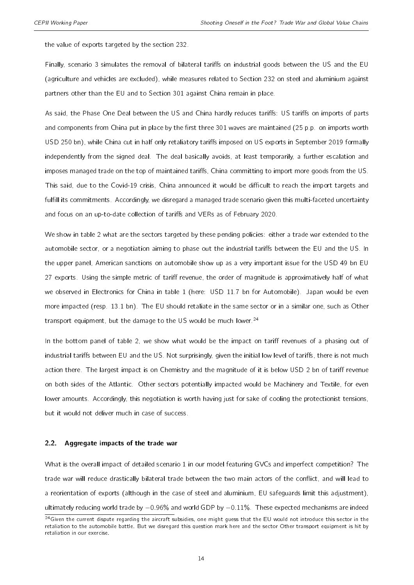the value of exports targeted by the section 232.

Finally, scenario 3 simulates the removal of bilateral tariffs on industrial goods between the US and the EU (agriculture and vehicles are excluded), while measures related to Section 232 on steel and aluminium against partners other than the EU and to Section 301 against China remain in place.

As said, the Phase One Deal between the US and China hardly reduces tariffs: US tariffs on imports of parts and components from China put in place by the first three 301 waves are maintained (25 p.p. on imports worth USD 250 bn), while China cut in half only retaliatory tariffs imposed on US exports in September 2019 formally independently from the signed deal. The deal basically avoids, at least temporarily, a further escalation and imposes managed trade on the top of maintained tariffs, China committing to import more goods from the US. This said, due to the Covid-19 crisis, China announced it would be difficult to reach the import targets and fulfill its commitments. Accordingly, we disregard a managed trade scenario given this multi-faceted uncertainty and focus on an up-to-date collection of tariffs and VERs as of February 2020.

We show in table [2](#page-14-0) what are the sectors targeted by these pending policies: either a trade war extended to the automobile sector, or a negotiation aiming to phase out the industrial tariffs between the EU and the US. In the upper panel, American sanctions on automobile show up as a very important issue for the USD 49 bn EU 27 exports. Using the simple metric of tariff revenue, the order of magnitude is approximatively half of what we observed in Electronics for China in table [1](#page-12-0) (here: USD 11.7 bn for Automobile). Japan would be even more impacted (resp. 13.1 bn). The EU should retaliate in the same sector or in a similar one, such as Other transport equipment, but the damage to the US would be much lower.<sup>[24](#page-2-0)</sup>

In the bottom panel of table [2,](#page-14-0) we show what would be the impact on tariff revenues of a phasing out of industrial tariffs between EU and the US. Not surprisingly, given the initial low level of tariffs, there is not much action there. The largest impact is on Chemistry and the magnitude of it is below USD 2 bn of tariff revenue on both sides of the Atlantic. Other sectors potentially impacted would be Machinery and Textile, for even lower amounts. Accordingly, this negotiation is worth having just for sake of cooling the protectionist tensions, but it would not deliver much in case of success.

#### 2.2. Aggregate impacts of the trade war

What is the overall impact of detailed scenario 1 in our model featuring GVCs and imperfect competition? The trade war will reduce drastically bilateral trade between the two main actors of the conflict, and will lead to a reorientation of exports (although in the case of steel and aluminium, EU safeguards limit this adjustment), ultimately reducing world trade by −0.96% and world GDP by −0.11%. These expected mechanisms are indeed

 $24$  Given the current dispute regarding the aircraft subsidies, one might guess that the EU would not introduce this sector in the retaliation to the automobile battle. But we disregard this question mark here and the sector Other transport equipment is hit by retaliation in our exercise.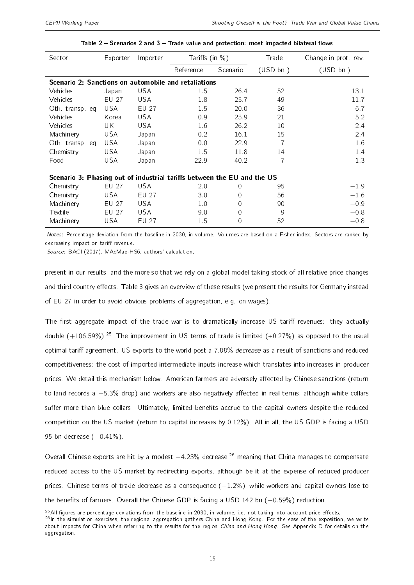<span id="page-14-0"></span>

| Sector                                                                  | Exporter   | Importer   | Tariffs (in $\%$ ) |                  | Trade          | Change in prot rev |  |  |  |  |
|-------------------------------------------------------------------------|------------|------------|--------------------|------------------|----------------|--------------------|--|--|--|--|
|                                                                         |            |            | Reference          | Scenario         | (USD bn.)      | (USD bn.)          |  |  |  |  |
| Scenario 2: Sanctions on automobile and retaliations                    |            |            |                    |                  |                |                    |  |  |  |  |
| Vehicles                                                                | Japan      | <b>USA</b> | 1.5                | 26.4             | 52             | 13.1               |  |  |  |  |
| Vehicles                                                                | EU 27      | <b>USA</b> | 1.8                | 25.7             | 49             | 11.7               |  |  |  |  |
| Oth transp eq                                                           | USA.       | EU 27      | 1.5                | 20.0             | 36             | 6.7                |  |  |  |  |
| Vehicles                                                                | Korea      | <b>USA</b> | 0.9                | 25.9             | 21             | 5.2                |  |  |  |  |
| Vehicles                                                                | UK         | <b>USA</b> | 1.6                | 26.2             | 10             | 2.4                |  |  |  |  |
| Machinery                                                               | USA        | Japan      | 0.2                | 16.1             | 15             | 2.4                |  |  |  |  |
| Oth transp eq                                                           | USA        | Japan      | 0.0                | 22.9             | $\overline{7}$ | 1.6                |  |  |  |  |
| Chemistry                                                               | <b>USA</b> | Japan      | 1.5                | 11.8             | 14             | 1.4                |  |  |  |  |
| Food                                                                    | USA        | Japan      | 22.9               | 40.2             | 7              | 1.3                |  |  |  |  |
| Scenario 3: Phasing out of industrial tariffs between the EU and the US |            |            |                    |                  |                |                    |  |  |  |  |
| Chemistry                                                               | EU 27      | USA        | 2.0                | $\left( \right)$ | 95             | $-1.9$             |  |  |  |  |
| Chemistry                                                               | USA.       | EU 27      | 3.0                | 0                | 56             | $-1.6$             |  |  |  |  |
| Machinery                                                               | EU 27      | USA.       | 1.0                | 0                | 90             | $-0.9$             |  |  |  |  |
| Textile                                                                 | EU 27      | <b>USA</b> | 9.0                | $\Omega$         | 9              | $-0.8$             |  |  |  |  |
| Machinery                                                               | USA        | EU 27      | 1.5                | $\Omega$         | 52             | $-0.8$             |  |  |  |  |

Notes: Percentage deviation from the baseline in 2030, in volume. Volumes are based on a Fisher index. Sectors are ranked by decreasing impact on tariff revenue.

Source: BACI (2017), MAcMap-HS6, authors' calculation.

present in our results, and the more so that we rely on a global model taking stock of all relative price changes and third country effects. Table [3](#page-15-0) gives an overview of these results (we present the results for Germany instead of EU 27 in order to avoid obvious problems of aggregation, e.g. on wages).

The first aggregate impact of the trade war is to dramatically increase US tariff revenues: they actually double  $(+106.59\%)$ <sup>[25](#page-2-0)</sup> The improvement in US terms of trade is limited  $(+0.27\%)$  as opposed to the usual optimal tariff agreement. US exports to the world post a 7.88% decrease as a result of sanctions and reduced competitiveness: the cost of imported intermediate inputs increase which translates into increases in producer prices. We detail this mechanism below. American farmers are adversely affected by Chinese sanctions (return to land records a −5.3% drop) and workers are also negatively affected in real terms, although white collars suffer more than blue collars. Ultimately, limited benefits accrue to the capital owners despite the reduced competition on the US market (return to capital increases by 0.12%). All in all, the US GDP is facing a USD 95 bn decrease (-0.41%).

Overall Chinese exports are hit by a modest −4.23% decrease,[26](#page-2-0) meaning that China manages to compensate reduced access to the US market by redirecting exports, although be it at the expense of reduced producer prices. Chinese terms of trade decrease as a consequence  $(-1.2\%)$ , while workers and capital owners lose to the benefits of farmers. Overall the Chinese GDP is facing a USD 142 bn (-0.59%) reduction.

 $^{25}$ All figures are percentage deviations from the baseline in 2030, in volume, i.e. not taking into account price effects.

<sup>26</sup>In the simulation exercises, the regional aggregation gathers China and Hong Kong. For the ease of the exposition, we write about impacts for China when referring to the results for the region China and Hong Kong. See Appendix [D](#page-34-0) for details on the aggregation.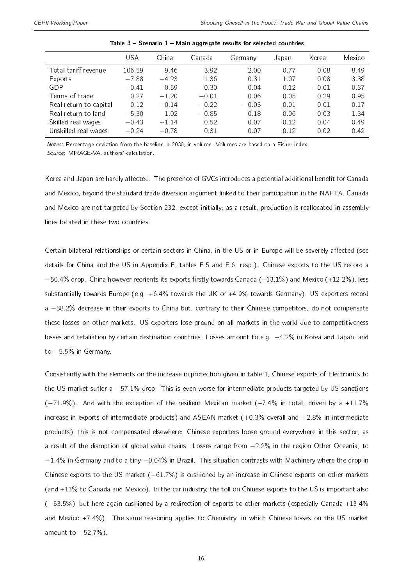<span id="page-15-0"></span>

|                        | USA     | China   | Canada  | Germany | Japan   | Korea   | Mexico  |
|------------------------|---------|---------|---------|---------|---------|---------|---------|
| Total tariff revenue   | 106.59  | 9.46    | 3.92    | 2.00    | 0.77    | 0.08    | 8.49    |
| Exports                | $-7.88$ | $-4.23$ | 1.36    | 0.31    | 1.07    | 0.08    | 3.38    |
| GDP                    | $-0.41$ | $-0.59$ | 0.30    | 0.04    | 0.12    | $-0.01$ | 0.37    |
| Terms of trade         | 0.27    | $-1.20$ | $-0.01$ | 0.06    | 0.05    | 0.29    | 0.95    |
| Real return to capital | 0.12    | $-0.14$ | $-0.22$ | $-0.03$ | $-0.01$ | 0.01    | 0.17    |
| Real return to land    | $-5.30$ | 1.02    | $-0.85$ | 0.18    | 0.06    | $-0.03$ | $-1.34$ |
| Skilled real wages     | $-0.43$ | $-1.14$ | 0.52    | 0.07    | 0.12    | 0.04    | 0.49    |
| Unskilled real wages   | $-0.24$ | $-0.78$ | 0.31    | 0.07    | 0.12    | 0.02    | 0.42    |

Table  $3 -$  Scenario  $1 -$  Main aggregate results for selected countries

Notes: Percentage deviation from the baseline in 2030, in volume. Volumes are based on a Fisher index. Source: MIRAGE-VA, authors' calculation.

Korea and Japan are hardly affected. The presence of GVCs introduces a potential additional benefit for Canada and Mexico, beyond the standard trade diversion argument linked to their participation in the NAFTA. Canada and Mexico are not targeted by Section 232, except initially; as a result, production is reallocated in assembly lines located in these two countries.

Certain bilateral relationships or certain sectors in China, in the US or in Europe will be severely affected (see details for China and the US in Appendix [E,](#page-35-0) tables [E.5](#page-36-0) and [E.6,](#page-37-0) resp.). Chinese exports to the US record a  $-50.4\%$  drop. China however reorients its exports firstly towards Canada (+13.1%) and Mexico (+12.2%), less substantially towards Europe (e.g. +6.4% towards the UK or +4.9% towards Germany). US exporters record a −38.2% decrease in their exports to China but, contrary to their Chinese competitors, do not compensate these losses on other markets. US exporters lose ground on all markets in the world due to competitiveness losses and retaliation by certain destination countries. Losses amount to e.g. −4.2% in Korea and Japan, and to −5.5% in Germany.

Consistently with the elements on the increase in protection given in table [1,](#page-12-0) Chinese exports of Electronics to the US market suffer a −57.1% drop. This is even worse for intermediate products targeted by US sanctions (−71.9%). And with the exception of the resilient Mexican market (+7.4% in total, driven by a +11.7% increase in exports of intermediate products) and ASEAN market  $(+0.3%$  overall and  $+2.8%$  in intermediate products), this is not compensated elsewhere: Chinese exporters loose ground everywhere in this sector, as a result of the disruption of global value chains. Losses range from −2.2% in the region Other Oceania, to −1.4% in Germany and to a tiny −0.04% in Brazil. This situation contrasts with Machinery where the drop in Chinese exports to the US market (−61.7%) is cushioned by an increase in Chinese exports on other markets (and +13% to Canada and Mexico). In the car industry, the toll on Chinese exports to the US is important also (−53.5%), but here again cushioned by a redirection of exports to other markets (especially Canada +13.4% and Mexico +7.4%). The same reasoning applies to Chemistry, in which Chinese losses on the US market amount to −52.7%).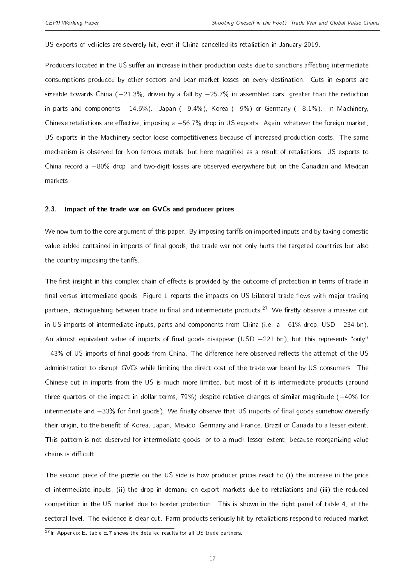US exports of vehicles are severely hit, even if China cancelled its retaliation in January 2019.

Producers located in the US suffer an increase in their production costs due to sanctions affecting intermediate consumptions produced by other sectors and bear market losses on every destination. Cuts in exports are sizeable towards China (−21.3%, driven by a fall by −25.7% in assembled cars, greater than the reduction in parts and components −14.6%). Japan (−9.4%), Korea (−9%) or Germany (−8.1%). In Machinery, Chinese retaliations are effective, imposing a -56.7% drop in US exports. Again, whatever the foreign market, US exports in the Machinery sector loose competitiveness because of increased production costs. The same mechanism is observed for Non ferrous metals, but here magnified as a result of retaliations: US exports to China record a −80% drop, and two-digit losses are observed everywhere but on the Canadian and Mexican markets.

#### 2.3. Impact of the trade war on GVCs and producer prices

We now turn to the core argument of this paper. By imposing tariffs on imported inputs and by taxing domestic value added contained in imports of final goods, the trade war not only hurts the targeted countries but also the country imposing the tariffs.

The first insight in this complex chain of effects is provided by the outcome of protection in terms of trade in final versus intermediate goods. Figure [1](#page-17-0) reports the impacts on US bilateral trade flows with major trading partners, distinguishing between trade in final and intermediate products.<sup>[27](#page-2-0)</sup> We firstly observe a massive cut in US imports of intermediate inputs, parts and components from China (i.e. a −61% drop, USD −234 bn). An almost equivalent value of imports of final goods disappear (USD  $-221$  bn), but this represents "only" −43% of US imports of final goods from China. The difference here observed reflects the attempt of the US administration to disrupt GVCs while limiting the direct cost of the trade war beard by US consumers. The Chinese cut in imports from the US is much more limited, but most of it is intermediate products (around three quarters of the impact in dollar terms, 79%) despite relative changes of similar magnitude (−40% for intermediate and −33% for final goods). We finally observe that US imports of final goods somehow diversify their origin, to the benefit of Korea, Japan, Mexico, Germany and France, Brazil or Canada to a lesser extent. This pattern is not observed for intermediate goods, or to a much lesser extent, because reorganizing value chains is difficult.

The second piece of the puzzle on the US side is how producer prices react to (i) the increase in the price of intermediate inputs, (ii) the drop in demand on export markets due to retaliations and (iii) the reduced competition in the US market due to border protection. This is shown in the right panel of table [4,](#page-18-0) at the sectoral level. The evidence is clear-cut. Farm products seriously hit by retaliations respond to reduced market

 $27$ In Appendix [E,](#page-35-0) table [E.7](#page-38-0) shows the detailed results for all US trade partners.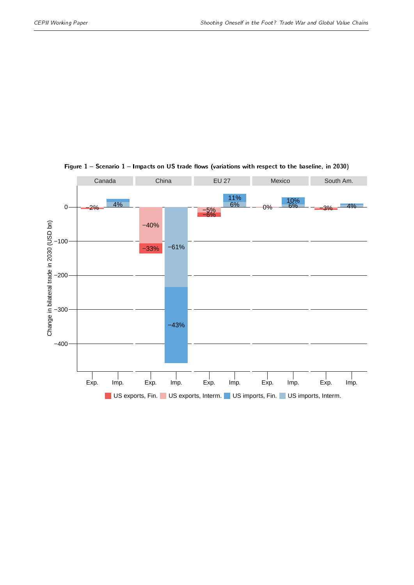<span id="page-17-0"></span>

#### Figure  $1$  – Scenario  $1$  – Impacts on US trade flows (variations with respect to the baseline, in 2030)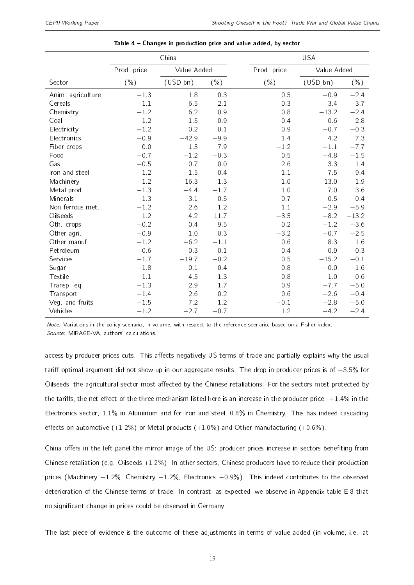<span id="page-18-0"></span>

|                   |            | China       |         |            | <b>USA</b>  |          |  |  |  |
|-------------------|------------|-------------|---------|------------|-------------|----------|--|--|--|
|                   | Prod price | Value Added |         | Prod price | Value Added |          |  |  |  |
| Sector            | ( %)       | (USD bn)    | $(\% )$ | $(\% )$    | (USD bn)    | $(\% )$  |  |  |  |
| Anim. agriculture | $-1.3$     | 1.8         | 0.3     | 0.5        | $-0.9$      | $-2.4$   |  |  |  |
| Cereals           | $-1.1$     | 6.5         | 2.1     | 0.3        | $-3.4$      | $-3.7$   |  |  |  |
| Chemistry         | $-1.2$     | 6.2         | 0.9     | 0.8        | $-13.2$     | $-2.4$   |  |  |  |
| Coal              | $-1.2$     | 1.5         | 0.9     | 0.4        | $-0.6$      | $-2.8$   |  |  |  |
| Electricity       | $-1.2$     | 0.2         | 0.1     | 0.9        | $-0.7$      | $-0.3$   |  |  |  |
| Electronics       | $-0.9$     | $-42.9$     | $-9.9$  | 1.4        | 4.2         | 7.3      |  |  |  |
| Fiber crops       | 0.0        | 1.5         | 7.9     | $-1.2$     | $-1.1$      | $-7.7$   |  |  |  |
| Food              | $-0.7$     | $-1.2$      | $-0.3$  | 0.5        | $-4.8$      | $-1.5\,$ |  |  |  |
| Gas               | $-0.5$     | 0.7         | 0.0     | 2.6        | 3.3         | 1.4      |  |  |  |
| Iron and steel    | $-1.2$     | $-1.5$      | $-0.4$  | 1.1        | 7.5         | 9.4      |  |  |  |
| Machinery         | $-1.2$     | $-16.3$     | $-1.3$  | 1.0        | 13.0        | 1.9      |  |  |  |
| Metal prod.       | $-1.3$     | $-4.4$      | $-1.7$  | 1.0        | 7.0         | 3.6      |  |  |  |
| Minerals          | $-1.3$     | 3.1         | 0.5     | 0.7        | $-0.5$      | $-0.4$   |  |  |  |
| Non ferrous met.  | $-1.2$     | 2.6         | 1.2     | 1.1        | $-2.9$      | $-5.9$   |  |  |  |
| Oilseeds          | 1.2        | 4.2         | 11.7    | $-3.5$     | $-8.2$      | $-13.2$  |  |  |  |
| Oth. crops        | $-0.2$     | 0.4         | 9.5     | 0.2        | $-1.2$      | $-3.6$   |  |  |  |
| Other agri.       | $-0.9$     | 1.0         | 0.3     | $-3.2$     | $-0.7$      | $-2.5$   |  |  |  |
| Other manuf.      | $-1.2$     | $-6.2$      | $-1.1$  | 0.6        | 8.3         | 1.6      |  |  |  |
| Petroleum         | $-0.6$     | $-0.3$      | $-0.1$  | 0.4        | $-0.9$      | $-0.3$   |  |  |  |
| Services          | $-1.7$     | $-19.7$     | $-0.2$  | 0.5        | $-15.2$     | $-0.1$   |  |  |  |
| Sugar             | $-1.8$     | 0.1         | 0.4     | 0.8        | $-0.0$      | $-1.6$   |  |  |  |
| Textile           | $-1.1$     | 4.5         | 1.3     | 0.8        | $-1.0$      | $-0.6$   |  |  |  |
| Transp. eq.       | $-1.3$     | 2.9         | 1.7     | 0.9        | $-7.7$      | $-5.0$   |  |  |  |
| Transport         | $-1.4$     | 2.6         | 0.2     | 0.6        | $-2.6$      | $-0.4$   |  |  |  |
| Veg and fruits    | $-1.5$     | 7.2         | 1.2     | $-0.1$     | $-2.8$      | $-5.0$   |  |  |  |
| Vehicles          | $-1.2$     | $-2.7$      | $-0.7$  | 1.2        | $-4.2$      | $-2.4$   |  |  |  |

| Table $4$ – Changes in production price and value added, by sector |  |  |
|--------------------------------------------------------------------|--|--|
|--------------------------------------------------------------------|--|--|

Note: Variations in the policy scenario, in volume, with respect to the reference scenario, based on a Fisher index. Source: MIRAGE-VA, authors' calculations.

access by producer prices cuts. This affects negatively US terms of trade and partially explains why the usual tariff optimal argument did not show up in our aggregate results. The drop in producer prices is of −3.5% for Oilseeds, the agricultural sector most affected by the Chinese retaliations. For the sectors most protected by the tariffs, the net effect of the three mechanism listed here is an increase in the producer price:  $+1.4\%$  in the Electronics sector, 1.1% in Aluminum and for Iron and steel, 0.8% in Chemistry. This has indeed cascading effects on automotive  $(+1.2%)$  or Metal products  $(+1.0%)$  and Other manufacturing  $(+0.6%)$ .

China offers in the left panel the mirror image of the US: producer prices increase in sectors benefiting from Chinese retaliation (e.g. Oilseeds +1.2%). In other sectors, Chinese producers have to reduce their production prices (Machinery −1.2%, Chemistry −1.2%, Electronics −0.9%). This indeed contributes to the observed deterioration of the Chinese terms of trade. In contrast, as expected, we observe in Appendix table [E.8](#page-39-0) that no signicant change in prices could be observed in Germany.

The last piece of evidence is the outcome of these adjustments in terms of value added (in volume, i.e. at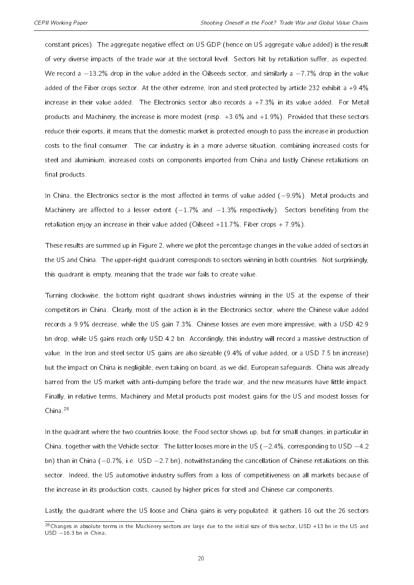constant prices). The aggregate negative effect on US GDP (hence on US aggregate value added) is the result of very diverse impacts of the trade war at the sectoral level. Sectors hit by retaliation suffer, as expected. We record a −13.2% drop in the value added in the Oilseeds sector, and similarly a −7.7% drop in the value added of the Fiber crops sector. At the other extreme, Iron and steel protected by article 232 exhibit a +9.4% increase in their value added. The Electronics sector also records a  $+7.3\%$  in its value added. For Metal products and Machinery, the increase is more modest (resp. +3.6% and +1.9%). Provided that these sectors reduce their exports, it means that the domestic market is protected enough to pass the increase in production costs to the final consumer. The car industry is in a more adverse situation, combining increased costs for steel and aluminium, increased costs on components imported from China and lastly Chinese retaliations on final products.

In China, the Electronics sector is the most affected in terms of value added (−9.9%). Metal products and Machinery are affected to a lesser extent  $(-1.7\%$  and  $-1.3\%$  respectively). Sectors benefiting from the retaliation enjoy an increase in their value added (Oilseed  $+11.7\%$ , Fiber crops  $+7.9\%$ ).

These results are summed up in Figure [2,](#page-20-0) where we plot the percentage changes in the value added of sectors in the US and China. The upper-right quadrant corresponds to sectors winning in both countries. Not surprisingly, this quadrant is empty, meaning that the trade war fails to create value.

Turning clockwise, the bottom right quadrant shows industries winning in the US at the expense of their competitors in China. Clearly, most of the action is in the Electronics sector, where the Chinese value added records a 9.9% decrease, while the US gain 7.3%. Chinese losses are even more impressive, with a USD 42.9 bn drop, while US gains reach only USD 4.2 bn. Accordingly, this industry will record a massive destruction of value. In the Iron and steel sector US gains are also sizeable (9.4% of value added, or a USD 7.5 bn increase) but the impact on China is negligible, even taking on board, as we did, European safeguards. China was already barred from the US market with anti-dumping before the trade war, and the new measures have little impact. Finally, in relative terms, Machinery and Metal products post modest gains for the US and modest losses for China<sup>[28](#page-2-0)</sup>

In the quadrant where the two countries loose, the Food sector shows up, but for small changes, in particular in China, together with the Vehicle sector. The latter looses more in the US (−2.4%, corresponding to USD −4.2 bn) than in China (−0.7%, i.e. USD −2.7 bn), notwithstanding the cancellation of Chinese retaliations on this sector. Indeed, the US automotive industry suffers from a loss of competitiveness on all markets because of the increase in its production costs, caused by higher prices for steel and Chinese car components.

Lastly, the quadrant where the US loose and China gains is very populated: it gathers 16 out the 26 sectors

 $^{28}$ Changes in absolute terms in the Machinery sectors are large due to the initial size of this sector, USD +13 bn in the US and USD −16.3 bn in China.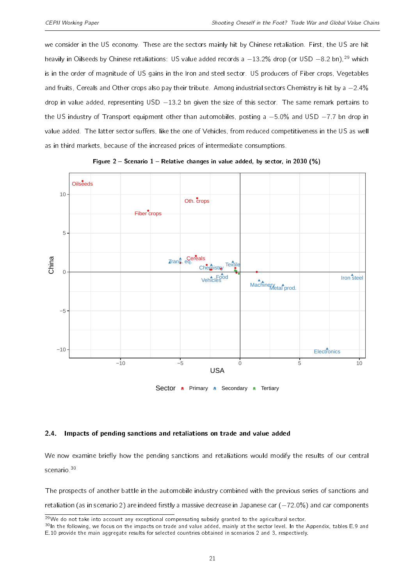we consider in the US economy. These are the sectors mainly hit by Chinese retaliation. First, the US are hit heavily in Oilseeds by Chinese retaliations: US value added records a -13.2% drop (or USD -8.2 bn).<sup>[29](#page-2-0)</sup> which is in the order of magnitude of US gains in the Iron and steel sector. US producers of Fiber crops, Vegetables and fruits, Cereals and Other crops also pay their tribute. Among industrial sectors Chemistry is hit by a −2.4% drop in value added, representing USD -13.2 bn given the size of this sector. The same remark pertains to the US industry of Transport equipment other than automobiles, posting a −5.0% and USD −7.7 bn drop in value added. The latter sector suffers, like the one of Vehicles, from reduced competitiveness in the US as well as in third markets, because of the increased prices of intermediate consumptions.

<span id="page-20-0"></span>



Sector a Primary a Secondary a Tertiary

#### 2.4. Impacts of pending sanctions and retaliations on trade and value added

We now examine briefly how the pending sanctions and retaliations would modify the results of our central scenario.<sup>[30](#page-2-0)</sup>

The prospects of another battle in the automobile industry combined with the previous series of sanctions and retaliation (as in scenario 2) are indeed firstly a massive decrease in Japanese car (−72.0%) and car components

 $29$ We do not take into account any exceptional compensating subsidy granted to the agricultural sector.

 $30$ In the following, we focus on the impacts on trade and value added, mainly at the sector level. In the Appendix, tables [E.9](#page-39-1) and [E.10](#page-40-0) provide the main aggregate results for selected countries obtained in scenarios 2 and 3, respectively.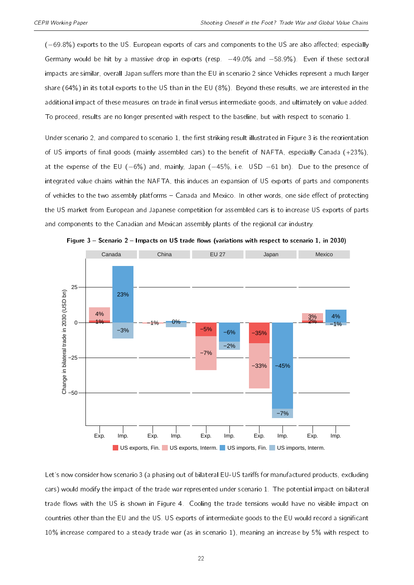(-69.8%) exports to the US. European exports of cars and components to the US are also affected; especially Germany would be hit by a massive drop in exports (resp. -49.0% and -58.9%). Even if these sectoral impacts are similar, overall Japan suffers more than the EU in scenario 2 since Vehicles represent a much larger share (64%) in its total exports to the US than in the EU (8%). Beyond these results, we are interested in the additional impact of these measures on trade in final versus intermediate goods, and ultimately on value added. To proceed, results are no longer presented with respect to the baseline, but with respect to scenario 1.

Under scenario 2, and compared to scenario 1, the first striking result illustrated in Figure [3](#page-21-0) is the reorientation of US imports of final goods (mainly assembled cars) to the benefit of NAFTA, especially Canada (+23%), at the expense of the EU (−6%) and, mainly, Japan (−45%, i.e. USD −61 bn). Due to the presence of integrated value chains within the NAFTA, this induces an expansion of US exports of parts and components of vehicles to the two assembly platforms – Canada and Mexico. In other words, one side effect of protecting the US market from European and Japanese competition for assembled cars is to increase US exports of parts and components to the Canadian and Mexican assembly plants of the regional car industry.

<span id="page-21-0"></span>

Figure 3 - Scenario 2 - Impacts on US trade flows (variations with respect to scenario 1, in 2030)

Let's now consider how scenario 3 (a phasing out of bilateral EU-US tariffs for manufactured products, excluding cars) would modify the impact of the trade war represented under scenario 1. The potential impact on bilateral trade flows with the US is shown in Figure [4.](#page-22-0) Cooling the trade tensions would have no visible impact on countries other than the EU and the US. US exports of intermediate goods to the EU would record a signicant 10% increase compared to a steady trade war (as in scenario 1), meaning an increase by 5% with respect to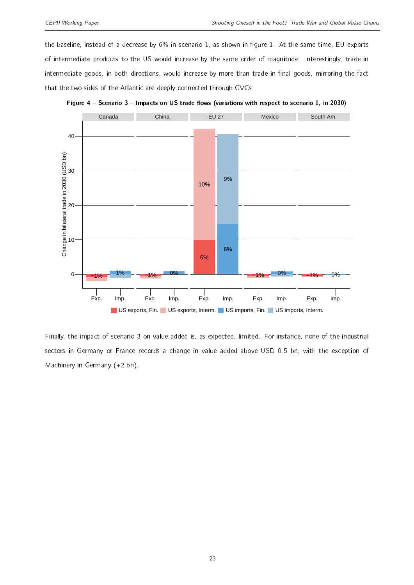the baseline, instead of a decrease by 6% in scenario 1, as shown in figure [1.](#page-17-0) At the same time, EU exports of intermediate products to the US would increase by the same order of magnitude. Interestingly, trade in intermediate goods, in both directions, would increase by more than trade in final goods, mirroring the fact that the two sides of the Atlantic are deeply connected through GVCs.

<span id="page-22-0"></span>

Figure 4 - Scenario 3 - Impacts on US trade flows (variations with respect to scenario 1, in 2030)

Finally, the impact of scenario 3 on value added is, as expected, limited. For instance, none of the industrial sectors in Germany or France records a change in value added above USD 0.5 bn, with the exception of Machinery in Germany (+2 bn).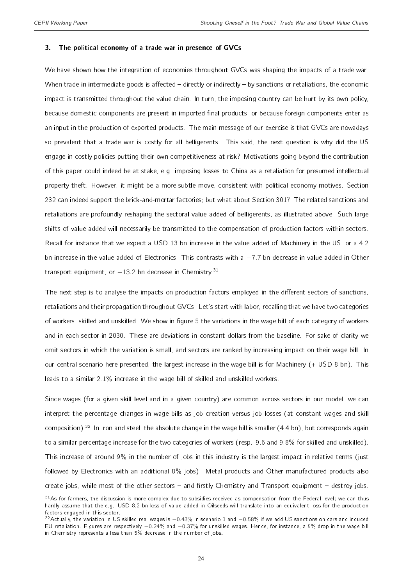#### <span id="page-23-0"></span>3. The political economy of a trade war in presence of GVCs

We have shown how the integration of economies throughout GVCs was shaping the impacts of a trade war. When trade in intermediate goods is affected  $-$  directly or indirectly  $-$  by sanctions or retaliations, the economic impact is transmitted throughout the value chain. In turn, the imposing country can be hurt by its own policy, because domestic components are present in imported final products, or because foreign components enter as an input in the production of exported products. The main message of our exercise is that GVCs are nowadays so prevalent that a trade war is costly for all belligerents. This said, the next question is why did the US engage in costly policies putting their own competitiveness at risk? Motivations going beyond the contribution of this paper could indeed be at stake, e.g. imposing losses to China as a retaliation for presumed intellectual property theft. However, it might be a more subtle move, consistent with political economy motives. Section 232 can indeed support the brick-and-mortar factories; but what about Section 301? The related sanctions and retaliations are profoundly reshaping the sectoral value added of belligerents, as illustrated above. Such large shifts of value added will necessarily be transmitted to the compensation of production factors within sectors. Recall for instance that we expect a USD 13 bn increase in the value added of Machinery in the US, or a 4.2 bn increase in the value added of Electronics. This contrasts with a −7.7 bn decrease in value added in Other transport equipment, or  $-13.2$  bn decrease in Chemistry.<sup>[31](#page-2-0)</sup>

The next step is to analyse the impacts on production factors employed in the different sectors of sanctions, retaliations and their propagation throughout GVCs. Let's start with labor, recalling that we have two categories of workers, skilled and unskilled. We show in figure [5](#page-24-0) the variations in the wage bill of each category of workers and in each sector in 2030. These are deviations in constant dollars from the baseline. For sake of clarity we omit sectors in which the variation is small, and sectors are ranked by increasing impact on their wage bill. In our central scenario here presented, the largest increase in the wage bill is for Machinery (+ USD 8 bn). This leads to a similar 2.1% increase in the wage bill of skilled and unskilled workers.

Since wages (for a given skill level and in a given country) are common across sectors in our model, we can interpret the percentage changes in wage bills as job creation versus job losses (at constant wages and skill composition).<sup>[32](#page-2-0)</sup> In Iron and steel, the absolute change in the wage bill is smaller (4.4 bn), but corresponds again to a similar percentage increase for the two categories of workers (resp. 9.6 and 9.8% for skilled and unskilled). This increase of around 9% in the number of jobs in this industry is the largest impact in relative terms (just followed by Electronics with an additional 8% jobs). Metal products and Other manufactured products also create jobs, while most of the other sectors  $-$  and firstly Chemistry and Transport equipment  $-$  destroy jobs.

 $31$ As for farmers, the discussion is more complex due to subsidies received as compensation from the Federal level; we can thus hardly assume that the e.g. USD 8.2 bn loss of value added in Oilseeds will translate into an equivalent loss for the production factors engaged in this sector.

<sup>&</sup>lt;sup>32</sup>Actually, the variation in US skilled real wages is −0.43% in scenario 1 and −0.58% if we add US sanctions on cars and induced EU retaliation. Figures are respectively −0.24% and −0.37% for unskilled wages. Hence, for instance, a 5% drop in the wage bill in Chemistry represents a less than 5% decrease in the number of jobs.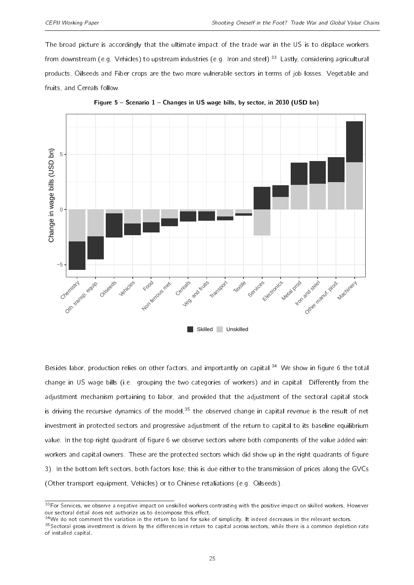The broad picture is accordingly that the ultimate impact of the trade war in the US is to displace workers from downstream (e.g. Vehicles) to upstream industries (e.g. Iron and steel).<sup>[33](#page-2-0)</sup> Lastly, considering agricultural products, Oilseeds and Fiber crops are the two more vulnerable sectors in terms of job losses. Vegetable and fruits, and Cereals follow.

<span id="page-24-0"></span>

Figure 5 - Scenario 1 - Changes in US wage bills, by sector, in 2030 (USD bn)

Besides labor, production relies on other factors, and importantly on capital.<sup>[34](#page-2-0)</sup> We show in figure [6](#page-25-0) the total change in US wage bills (i.e. grouping the two categories of workers) and in capital. Differently from the adjustment mechanism pertaining to labor, and provided that the adjustment of the sectoral capital stock is driving the recursive dynamics of the model,  $35$  the observed change in capital revenue is the result of net investment in protected sectors and progressive adjustment of the return to capital to its baseline equilibrium value. In the top right quadrant of figure [6](#page-25-0) we observe sectors where both components of the value added win: workers and capital owners. These are the protected sectors which did show up in the right quadrants of figure [3\)](#page-21-0). In the bottom left sectors, both factors lose; this is due either to the transmission of prices along the GVCs (Other transport equipment, Vehicles) or to Chinese retaliations (e.g. Oilseeds).

 $33$ For Services, we observe a negative impact on unskilled workers contrasting with the positive impact on skilled workers. However our sectoral detail does not authorize us to decompose this effect.

 $34$ We do not comment the variation in the return to land for sake of simplicity. It indeed decreases in the relevant sectors.

 $35$ Sectoral gross investment is driven by the differences in return to capital across sectors, while there is a common depletion rate of installed capital.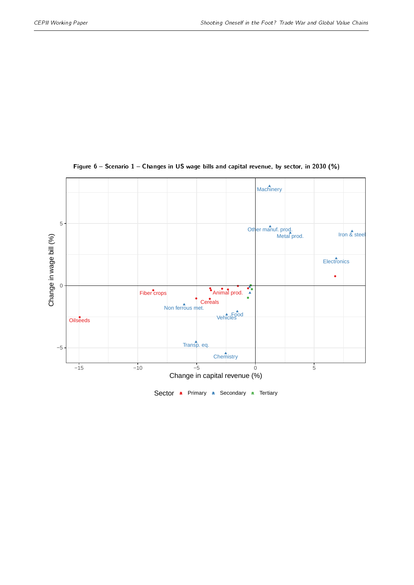<span id="page-25-0"></span>

#### Figure  $6$  – Scenario  $1$  – Changes in US wage bills and capital revenue, by sector, in 2030 (%)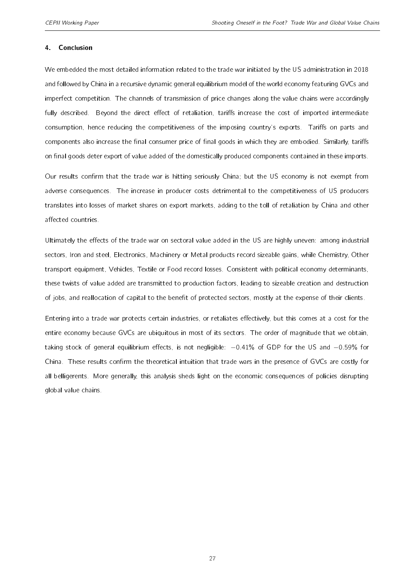#### 4. Conclusion

We embedded the most detailed information related to the trade war initiated by the US administration in 2018 and followed by China in a recursive dynamic general equilibrium model of the world economy featuring GVCs and imperfect competition. The channels of transmission of price changes along the value chains were accordingly fully described. Beyond the direct effect of retaliation, tariffs increase the cost of imported intermediate consumption, hence reducing the competitiveness of the imposing country's exports. Tariffs on parts and components also increase the final consumer price of final goods in which they are embodied. Similarly, tariffs on final goods deter export of value added of the domestically produced components contained in these imports.

Our results confirm that the trade war is hitting seriously China; but the US economy is not exempt from adverse consequences. The increase in producer costs detrimental to the competitiveness of US producers translates into losses of market shares on export markets, adding to the toll of retaliation by China and other affected countries.

Ultimately the effects of the trade war on sectoral value added in the US are highly uneven: among industrial sectors, Iron and steel, Electronics, Machinery or Metal products record sizeable gains, while Chemistry, Other transport equipment, Vehicles, Textile or Food record losses. Consistent with political economy determinants, these twists of value added are transmitted to production factors, leading to sizeable creation and destruction of jobs, and reallocation of capital to the benefit of protected sectors, mostly at the expense of their clients.

Entering into a trade war protects certain industries, or retaliates effectively, but this comes at a cost for the entire economy because GVCs are ubiquitous in most of its sectors. The order of magnitude that we obtain, taking stock of general equilibrium effects, is not negligible:  $-0.41\%$  of GDP for the US and  $-0.59\%$  for China. These results confirm the theoretical intuition that trade wars in the presence of GVCs are costly for all belligerents. More generally, this analysis sheds light on the economic consequences of policies disrupting global value chains.

27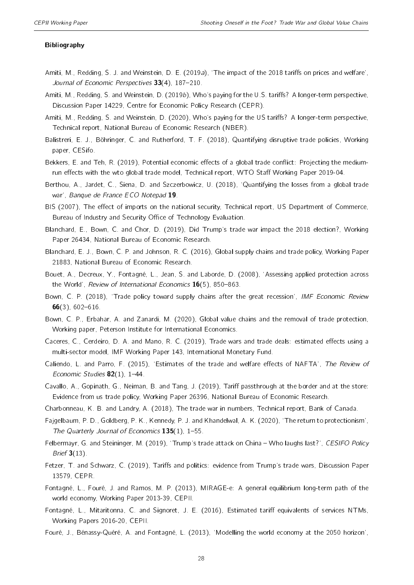#### Bibliography

- <span id="page-27-0"></span>Amiti, M., Redding, S. J. and Weinstein, D. E. (2019a), 'The impact of the 2018 tariffs on prices and welfare', Journal of Economic Perspectives  $33(4)$ , 187-210.
- <span id="page-27-14"></span>Amiti, M., Redding, S. and Weinstein, D. (2019b), Who's paying for the U.S. tariffs? A longer-term perspective, Discussion Paper 14229, Centre for Economic Policy Research (CEPR).
- <span id="page-27-1"></span>Amiti, M., Redding, S. and Weinstein, D. (2020), Who's paying for the US tariffs? A longer-term perspective, Technical report, National Bureau of Economic Research (NBER).
- <span id="page-27-12"></span>Balistreri, E. J., Böhringer, C. and Rutherford, T. F. (2018), Quantifying disruptive trade policies, Working paper, CESifo.
- <span id="page-27-11"></span>Bekkers, E. and Teh, R. (2019), Potential economic effects of a global trade conflict: Projecting the mediumrun effects with the wto global trade model, Technical report, WTO Staff Working Paper 2019-04.
- <span id="page-27-6"></span>Berthou, A., Jardet, C., Siena, D. and Szczerbowicz, U. (2018), `Quantifying the losses from a global trade war', Banque de France ECO Notepad 19.
- <span id="page-27-19"></span>BIS (2007), The effect of imports on the national security, Technical report, US Department of Commerce, Bureau of Industry and Security Office of Technology Evaluation.
- <span id="page-27-21"></span>Blanchard, E., Bown, C. and Chor, D. (2019), Did Trump's trade war impact the 2018 election?, Working Paper 26434, National Bureau of Economic Research.
- <span id="page-27-4"></span>Blanchard, E. J., Bown, C. P. and Johnson, R. C. (2016), Global supply chains and trade policy, Working Paper 21883, National Bureau of Economic Research.
- <span id="page-27-17"></span>Bouet, A., Decreux, Y., Fontagné, L., Jean, S. and Laborde, D. (2008), `Assessing applied protection across the World', Review of International Economics  $16(5)$ , 850-863.
- <span id="page-27-9"></span>Bown, C. P. (2018), 'Trade policy toward supply chains after the great recession', IMF Economic Review  $66(3)$ , 602-616.
- <span id="page-27-5"></span>Bown, C. P., Erbahar, A. and Zanardi, M. (2020), Global value chains and the removal of trade protection, Working paper, Peterson Institute for International Economics.
- <span id="page-27-10"></span>Caceres, C., Cerdeiro, D. A. and Mano, R. C. (2019), Trade wars and trade deals: estimated effects using a multi-sector model, IMF Working Paper 143, International Monetary Fund.
- <span id="page-27-8"></span>Caliendo, L. and Parro, F. (2015), 'Estimates of the trade and welfare effects of NAFTA', The Review of Economic Studies  $82(1)$ , 1-44.
- <span id="page-27-3"></span>Cavallo, A., Gopinath, G., Neiman, B. and Tang, J. (2019), Tariff passthrough at the border and at the store: Evidence from us trade policy, Working Paper 26396, National Bureau of Economic Research.
- <span id="page-27-13"></span>Charbonneau, K. B. and Landry, A. (2018), The trade war in numbers, Technical report, Bank of Canada.
- <span id="page-27-2"></span>Fajgelbaum, P. D., Goldberg, P. K., Kennedy, P. J. and Khandelwal, A. K. (2020), `The return to protectionism', The Quarterly Journal of Economics  $135(1)$ , 1-55.
- <span id="page-27-7"></span>Felbermayr, G. and Steininger, M. (2019), 'Trump's trade attack on China - Who laughs last?', CESIFO Policy Brief  $3(13)$ .
- <span id="page-27-20"></span>Fetzer, T. and Schwarz, C. (2019), Tariffs and politics: evidence from Trump's trade wars, Discussion Paper 13579, CEPR.
- <span id="page-27-16"></span>Fontagné, L., Fouré, J. and Ramos, M. P. (2013), MIRAGE-e: A general equilibrium long-term path of the world economy, Working Paper 2013-39, CEPII.
- <span id="page-27-18"></span>Fontagné, L., Mitaritonna, C. and Signoret, J. E. (2016), Estimated tariff equivalents of services NTMs, Working Papers 2016-20, CEPII.
- <span id="page-27-15"></span>Fouré, J., Bénassy-Quéré, A. and Fontagné, L. (2013), `Modelling the world economy at the 2050 horizon',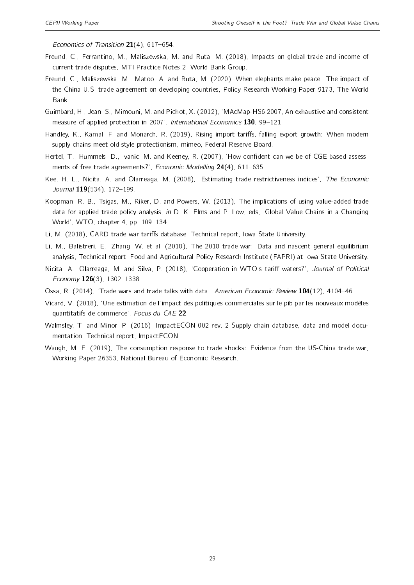Economics of Transition  $21(4)$ , 617–654.

- <span id="page-28-7"></span>Freund, C., Ferrantino, M., Maliszewska, M. and Ruta, M. (2018), Impacts on global trade and income of current trade disputes, MTI Practice Notes 2, World Bank Group.
- <span id="page-28-0"></span>Freund, C., Maliszewska, M., Matoo, A. and Ruta, M. (2020), When elephants make peace: The impact of the China-U.S. trade agreement on developing countries, Policy Research Working Paper 9173, The World Bank.
- <span id="page-28-11"></span>Guimbard, H., Jean, S., Mimouni, M. and Pichot, X. (2012), `MAcMap-HS6 2007, An exhaustive and consistent measure of applied protection in 2007', International Economics 130, 99-121.
- <span id="page-28-3"></span>Handley, K., Kamal, F. and Monarch, R. (2019), Rising import tariffs, falling export growth: When modern supply chains meet old-style protectionism, mimeo, Federal Reserve Board.
- <span id="page-28-9"></span>Hertel, T., Hummels, D., Ivanic, M. and Keeney, R. (2007), 'How confident can we be of CGE-based assessments of free trade agreements?', Economic Modelling  $24(4)$ , 611-635.
- <span id="page-28-12"></span>Kee, H. L., Nicita, A. and Olarreaga, M. (2008), 'Estimating trade restrictiveness indices', The Economic Journal 119(534), 172-199.
- <span id="page-28-2"></span>Koopman, R. B., Tsigas, M., Riker, D. and Powers, W. (2013), The implications of using value-added trade data for applied trade policy analysis, in D. K. Elms and P. Low, eds, 'Global Value Chains in a Changing World', WTO, chapter 4, pp. 109-134.
- <span id="page-28-13"></span>Li, M. (2018), CARD trade war tariffs database, Technical report, Iowa State University.
- <span id="page-28-8"></span>Li, M., Balistreri, E., Zhang, W. et al. (2018), The 2018 trade war: Data and nascent general equilibrium analysis, Technical report, Food and Agricultural Policy Research Institute (FAPRI) at Iowa State University.
- <span id="page-28-6"></span>Nicita, A., Olarreaga, M. and Silva, P. (2018), 'Cooperation in WTO's tariff waters?', Journal of Political Economy  $126(3)$ , 1302-1338.
- <span id="page-28-5"></span>Ossa, R. (2014), 'Trade wars and trade talks with data', American Economic Review 104(12), 4104-46.
- <span id="page-28-4"></span>Vicard, V. (2018), `Une estimation de l'impact des politiques commerciales sur le pib par les nouveaux modèles quantitatifs de commerce', Focus du CAE 22.
- <span id="page-28-10"></span>Walmsley, T. and Minor, P. (2016), ImpactECON 002 rev. 2 Supply chain database, data and model documentation, Technical report, ImpactECON.
- <span id="page-28-1"></span>Waugh, M. E. (2019), The consumption response to trade shocks: Evidence from the US-China trade war, Working Paper 26353, National Bureau of Economic Research.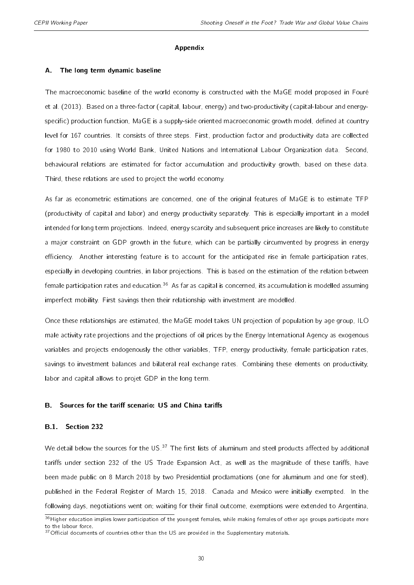#### Appendix

#### <span id="page-29-1"></span>A. The long term dynamic baseline

The macroeconomic baseline of the world economy is constructed with the MaGE model proposed in [Fouré](#page-27-15) [et al.](#page-27-15) [\(2013\)](#page-27-15). Based on a three-factor (capital, labour, energy) and two-productivity (capital-labour and energyspecific) production function, MaGE is a supply-side oriented macroeconomic growth model, defined at country level for 167 countries. It consists of three steps. First, production factor and productivity data are collected for 1980 to 2010 using World Bank, United Nations and International Labour Organization data. Second, behavioural relations are estimated for factor accumulation and productivity growth, based on these data. Third, these relations are used to project the world economy.

As far as econometric estimations are concerned, one of the original features of MaGE is to estimate TFP (productivity of capital and labor) and energy productivity separately. This is especially important in a model intended for long term projections. Indeed, energy scarcity and subsequent price increases are likely to constitute a major constraint on GDP growth in the future, which can be partially circumvented by progress in energy efficiency. Another interesting feature is to account for the anticipated rise in female participation rates, especially in developing countries, in labor projections. This is based on the estimation of the relation between female participation rates and education.<sup>[36](#page-2-0)</sup> As far as capital is concerned, its accumulation is modelled assuming imperfect mobility. First savings then their relationship with investment are modelled.

Once these relationships are estimated, the MaGE model takes UN projection of population by age group, ILO male activity rate projections and the projections of oil prices by the Energy International Agency as exogenous variables and projects endogenously the other variables, TFP, energy productivity, female participation rates, savings to investment balances and bilateral real exchange rates. Combining these elements on productivity, labor and capital allows to projet GDP in the long term.

#### <span id="page-29-0"></span>B. Sources for the tariff scenario: US and China tariffs

#### B.1. Section 232

We detail below the sources for the US.<sup>[37](#page-2-0)</sup> The first lists of aluminum and steel products affected by additional tariffs under section 232 of the US Trade Expansion Act, as well as the magnitude of these tariffs, have been made public on 8 March 2018 by two Presidential proclamations (one for aluminum and one for steel), published in the Federal Register of March 15, 2018. Canada and Mexico were initially exempted. In the following days, negotiations went on; waiting for their final outcome, exemptions were extended to Argentina,

 $36$  Higher education implies lower participation of the youngest females, while making females of other age groups participate more to the labour force.

 $37$ Official documents of countries other than the US are provided in the Supplementary materials.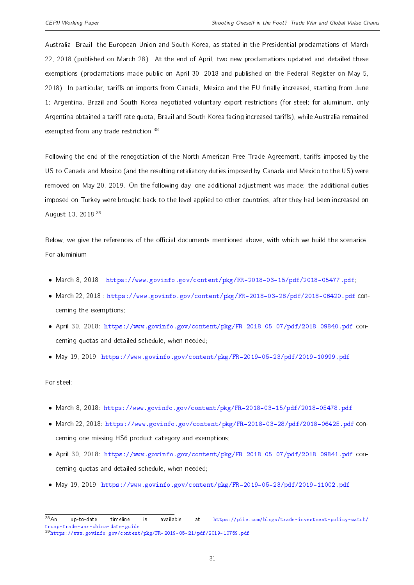Australia, Brazil, the European Union and South Korea, as stated in the Presidential proclamations of March 22, 2018 (published on March 28). At the end of April, two new proclamations updated and detailed these exemptions (proclamations made public on April 30, 2018 and published on the Federal Register on May 5, 2018). In particular, tariffs on imports from Canada, Mexico and the EU finally increased, starting from June 1; Argentina, Brazil and South Korea negotiated voluntary export restrictions (for steel; for aluminum, only Argentina obtained a tariff rate quota, Brazil and South Korea facing increased tariffs), while Australia remained exempted from any trade restriction.<sup>[38](#page-2-0)</sup>

Following the end of the renegotiation of the North American Free Trade Agreement, tariffs imposed by the US to Canada and Mexico (and the resulting retaliatory duties imposed by Canada and Mexico to the US) were removed on May 20, 2019. On the following day, one additional adjustment was made: the additional duties imposed on Turkey were brought back to the level applied to other countries, after they had been increased on August 13, 2018.[39](#page-2-0)

Below, we give the references of the official documents mentioned above, with which we build the scenarios. For aluminium:

- March 8, 2018 : [https://www.govinfo.gov/content/pkg/FR-2018-03-15/pdf/2018-05477.pdf;](https://www.govinfo.gov/content/pkg/FR-2018-03-15/pdf/2018-05477.pdf)
- March 22, 2018 : <https://www.govinfo.gov/content/pkg/FR-2018-03-28/pdf/2018-06420.pdf> concerning the exemptions;
- April 30, 2018: <https://www.govinfo.gov/content/pkg/FR-2018-05-07/pdf/2018-09840.pdf> concerning quotas and detailed schedule, when needed;
- May 19, 2019: [https://www.govinfo.gov/content/pkg/FR-2019-05-23/pdf/2019-10999.pdf.](https://www.govinfo.gov/content/pkg/FR-2019-05-23/pdf/2019-10999.pdf)

For steel:

- March 8, 2018: <https://www.govinfo.gov/content/pkg/FR-2018-03-15/pdf/2018-05478.pdf>
- March 22, 2018: <https://www.govinfo.gov/content/pkg/FR-2018-03-28/pdf/2018-06425.pdf> concerning one missing HS6 product category and exemptions;
- April 30, 2018: <https://www.govinfo.gov/content/pkg/FR-2018-05-07/pdf/2018-09841.pdf> concerning quotas and detailed schedule, when needed;
- May 19, 2019: [https://www.govinfo.gov/content/pkg/FR-2019-05-23/pdf/2019-11002.pdf.](https://www.govinfo.gov/content/pkg/FR-2019-05-23/pdf/2019-11002.pdf)

<sup>38</sup>An up-to-date timeline is available at [https://piie.com/blogs/trade-investment-policy-watch/](https://piie.com/blogs/trade-investment-policy-watch/trump-trade-war-china-date-guide) [trump-trade-war-china-date-guide](https://piie.com/blogs/trade-investment-policy-watch/trump-trade-war-china-date-guide) <sup>39</sup><https://www.govinfo.gov/content/pkg/FR-2019-05-21/pdf/2019-10759.pdf>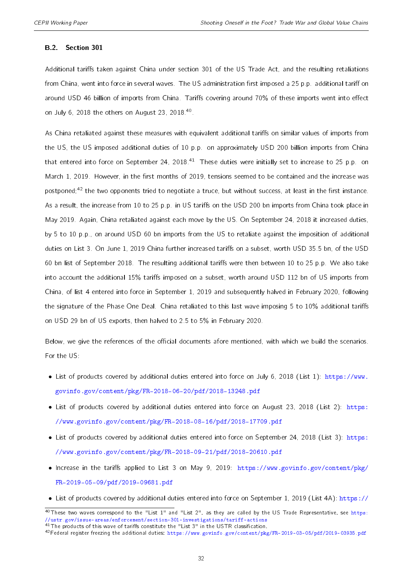#### B.2. Section 301

Additional tariffs taken against China under section 301 of the US Trade Act, and the resulting retaliations from China, went into force in several waves. The US administration first imposed a 25 p.p. additional tariff on around USD 46 billion of imports from China. Tariffs covering around 70% of these imports went into effect on July 6, 2018 the others on August 23, 2018.<sup>[40](#page-2-0)</sup>.

As China retaliated against these measures with equivalent additional tariffs on similar values of imports from the US, the US imposed additional duties of 10 p.p. on approximately USD 200 billion imports from China that entered into force on September 24, 2018.<sup>[41](#page-2-0)</sup> These duties were initially set to increase to 25 p.p. on March 1, 2019. However, in the first months of 2019, tensions seemed to be contained and the increase was postponed;<sup>[42](#page-2-0)</sup> the two opponents tried to negotiate a truce, but without success, at least in the first instance. As a result, the increase from 10 to 25 p.p. in US tariffs on the USD 200 bn imports from China took place in May 2019. Again, China retaliated against each move by the US. On September 24, 2018 it increased duties, by 5 to 10 p.p., on around USD 60 bn imports from the US to retaliate against the imposition of additional duties on List 3. On June 1, 2019 China further increased tariffs on a subset, worth USD 35.5 bn, of the USD 60 bn list of September 2018. The resulting additional tariffs were then between 10 to 25 p.p. We also take into account the additional 15% tariffs imposed on a subset, worth around USD 112 bn of US imports from China, of list 4 entered into force in September 1, 2019 and subsequently halved in February 2020, following the signature of the Phase One Deal. China retaliated to this last wave imposing 5 to 10% additional tariffs on USD 29 bn of US exports, then halved to 2.5 to 5% in February 2020.

Below, we give the references of the official documents afore mentioned, with which we build the scenarios. For the US:

- List of products covered by additional duties entered into force on July 6, 2018 (List 1): [https://www.](https://www.govinfo.gov/content/pkg/FR-2018-06-20/pdf/2018-13248.pdf) [govinfo.gov/content/pkg/FR-2018-06-20/pdf/2018-13248.pdf](https://www.govinfo.gov/content/pkg/FR-2018-06-20/pdf/2018-13248.pdf)
- List of products covered by additional duties entered into force on August 23, 2018 (List 2): [https:](https://www.govinfo.gov/content/pkg/FR-2018-08-16/pdf/2018-17709.pdf) [//www.govinfo.gov/content/pkg/FR-2018-08-16/pdf/2018-17709.pdf](https://www.govinfo.gov/content/pkg/FR-2018-08-16/pdf/2018-17709.pdf)
- List of products covered by additional duties entered into force on September 24, 2018 (List 3): [https:](https://www.govinfo.gov/content/pkg/FR-2018-09-21/pdf/2018-20610.pdf) [//www.govinfo.gov/content/pkg/FR-2018-09-21/pdf/2018-20610.pdf](https://www.govinfo.gov/content/pkg/FR-2018-09-21/pdf/2018-20610.pdf)
- Increase in the tariffs applied to List 3 on May 9, 2019: [https://www.govinfo.gov/content/pkg/](https://www.govinfo.gov/content/pkg/FR-2019-05-09/pdf/2019-09681.pdf) [FR-2019-05-09/pdf/2019-09681.pdf](https://www.govinfo.gov/content/pkg/FR-2019-05-09/pdf/2019-09681.pdf)
- List of products covered by additional duties entered into force on September 1, 2019 (List 4A): [https://](https://ustr.gov/sites/default/files/enforcement/301Investigations/Notice_of_Modification_%28List_4A_and_List_4B%29.pdf)

 $40$ [These two waves correspond to the "List 1" and "List 2", as they are called by the US Trade Representative, see](https://ustr.gov/sites/default/files/enforcement/301Investigations/Notice_of_Modification_%28List_4A_and_List_4B%29.pdf) [https:](https://ustr.gov/issue-areas/enforcement/section-301-investigations/tariff-actions) [//ustr.gov/issue-areas/enforcement/section-301-investigations/tariff-actions](https://ustr.gov/sites/default/files/enforcement/301Investigations/Notice_of_Modification_%28List_4A_and_List_4B%29.pdf)  $41$ The products of this wave of tariffs constitute the "List 3" in the USTR classification.

<sup>42</sup>Federal register freezing the additional duties: [https://www.govinfo.gov/content/pkg/FR-2019-03-05/pdf/2019-03935.pdf](https://ustr.gov/sites/default/files/enforcement/301Investigations/Notice_of_Modification_%28List_4A_and_List_4B%29.pdf)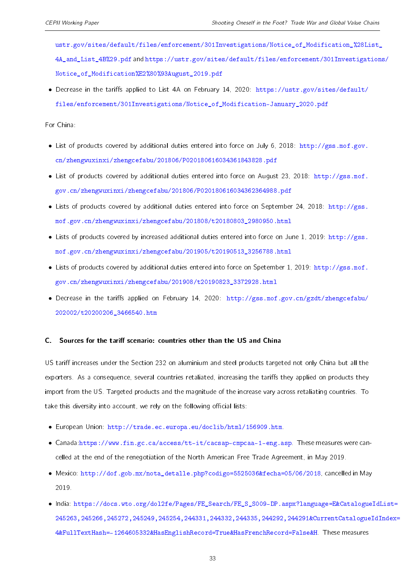[ustr.gov/sites/default/files/enforcement/301Investigations/Notice\\_of\\_Modification\\_%28Li](https://ustr.gov/sites/default/files/enforcement/301Investigations/Notice_of_Modification_%28List_4A_and_List_4B%29.pdf)st\_ [4A\\_and\\_List\\_4B%29.pdf](https://ustr.gov/sites/default/files/enforcement/301Investigations/Notice_of_Modification_%28List_4A_and_List_4B%29.pdf) and [https://ustr.gov/sites/default/files/enforcement/301Investigat](https://ustr.gov/sites/default/files/enforcement/301Investigations/Notice_of_Modification%E2%80%93August_2019.pdf)ions/ [Notice\\_of\\_Modification%E2%80%93August\\_2019.pdf](https://ustr.gov/sites/default/files/enforcement/301Investigations/Notice_of_Modification%E2%80%93August_2019.pdf)

• Decrease in the tariffs applied to List 4A on February 14, 2020; [https://ustr.gov/sites/default/](https://ustr.gov/sites/default/files/enforcement/301Investigations/Notice_of_Modification-January_2020.pdf) [files/enforcement/301Investigations/Notice\\_of\\_Modification-January\\_2020.pdf](https://ustr.gov/sites/default/files/enforcement/301Investigations/Notice_of_Modification-January_2020.pdf)

For China:

- List of products covered by additional duties entered into force on July 6, 2018: [http://gss.mof.gov.](http://gss.mof.gov.cn/zhengwuxinxi/zhengcefabu/201806/P020180616034361843828.pdf) [cn/zhengwuxinxi/zhengcefabu/201806/P020180616034361843828.pdf](http://gss.mof.gov.cn/zhengwuxinxi/zhengcefabu/201806/P020180616034361843828.pdf)
- List of products covered by additional duties entered into force on August 23, 2018: [http://gss.mof.](http://gss.mof.gov.cn/zhengwuxinxi/zhengcefabu/201806/P020180616034362364988.pdf) [gov.cn/zhengwuxinxi/zhengcefabu/201806/P020180616034362364988.pdf](http://gss.mof.gov.cn/zhengwuxinxi/zhengcefabu/201806/P020180616034362364988.pdf)
- Lists of products covered by additional duties entered into force on September 24, 2018: [http://gss.](http://gss.mof.gov.cn/zhengwuxinxi/zhengcefabu/201808/t20180803_2980950.html) [mof.gov.cn/zhengwuxinxi/zhengcefabu/201808/t20180803\\_2980950.html](http://gss.mof.gov.cn/zhengwuxinxi/zhengcefabu/201808/t20180803_2980950.html)
- Lists of products covered by increased additional duties entered into force on June 1, 2019: [http://gss.](http://gss.mof.gov.cn/zhengwuxinxi/zhengcefabu/201905/t20190513_3256788.html) [mof.gov.cn/zhengwuxinxi/zhengcefabu/201905/t20190513\\_3256788.html](http://gss.mof.gov.cn/zhengwuxinxi/zhengcefabu/201905/t20190513_3256788.html)
- Lists of products covered by additional duties entered into force on Spetember 1, 2019: [http://gss.mof.](http://gss.mof.gov.cn/zhengwuxinxi/zhengcefabu/201908/t20190823_3372928.html) [gov.cn/zhengwuxinxi/zhengcefabu/201908/t20190823\\_3372928.html](http://gss.mof.gov.cn/zhengwuxinxi/zhengcefabu/201908/t20190823_3372928.html)
- Decrease in the tariffs applied on February 14, 2020: [http://gss.mof.gov.cn/gzdt/zhengcefabu/](http://gss.mof.gov.cn/gzdt/zhengcefabu/202002/t20200206_3466540.htm) [202002/t20200206\\_3466540.htm](http://gss.mof.gov.cn/gzdt/zhengcefabu/202002/t20200206_3466540.htm)

#### C. Sources for the tariff scenario: countries other than the US and China

US tariff increases under the Section 232 on aluminium and steel products targeted not only China but all the exporters. As a consequence, several countries retaliated, increasing the tariffs they applied on products they import from the US. Targeted products and the magnitude of the increase vary across retaliating countries. To take this diversity into account, we rely on the following official lists:

- European Union: [http://trade.ec.europa.eu/doclib/html/156909.htm.](http://trade.ec.europa.eu/doclib/html/156909.htm)
- Canada[:https://www.fin.gc.ca/access/tt-it/cacsap-cmpcaa-1-eng.asp.](https://www.fin.gc.ca/access/tt-it/cacsap-cmpcaa-1-eng.asp) These measures were cancelled at the end of the renegotiation of the North American Free Trade Agreement, in May 2019.
- Mexico: [http://dof.gob.mx/nota\\_detalle.php?codigo=5525036&fecha=05/06/2018,](http://dof.gob.mx/nota_detalle.php?codigo=5525036&fecha=05/06/2018) cancelled in May 2019.
- India: [https://docs.wto.org/dol2fe/Pages/FE\\_Search/FE\\_S\\_S009-DP.aspx?language=E&Catalogue](https://docs.wto.org/dol2fe/Pages/FE_Search/FE_S_S009-DP.aspx?language=E&CatalogueIdList=245263,245266,245272,245249,245254,244331,244332,244335,244292,244291&CurrentCatalogueIdIndex=4&FullTextHash=-1264605332&HasEnglishRecord=True&HasFrenchRecord=False&H)IdList= [245263,245266,245272,245249,245254,244331,244332,244335,244292,244291&CurrentCatalogue](https://docs.wto.org/dol2fe/Pages/FE_Search/FE_S_S009-DP.aspx?language=E&CatalogueIdList=245263,245266,245272,245249,245254,244331,244332,244335,244292,244291&CurrentCatalogueIdIndex=4&FullTextHash=-1264605332&HasEnglishRecord=True&HasFrenchRecord=False&H)IdIndex= [4&FullTextHash=-1264605332&HasEnglishRecord=True&HasFrenchRecord=False&H.](https://docs.wto.org/dol2fe/Pages/FE_Search/FE_S_S009-DP.aspx?language=E&CatalogueIdList=245263,245266,245272,245249,245254,244331,244332,244335,244292,244291&CurrentCatalogueIdIndex=4&FullTextHash=-1264605332&HasEnglishRecord=True&HasFrenchRecord=False&H) These measures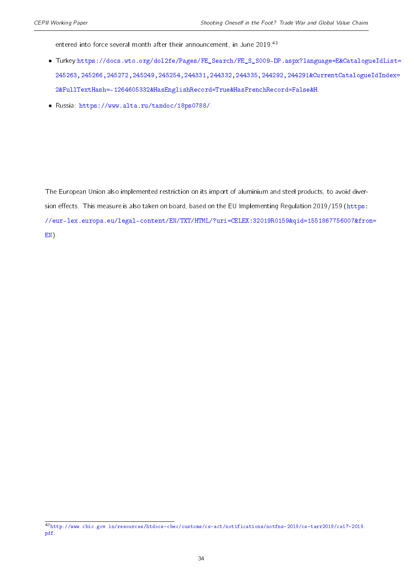entered into force several month after their announcement, in June 2019.<sup>[43](#page-2-0)</sup>

- Turkey[:https://docs.wto.org/dol2fe/Pages/FE\\_Search/FE\\_S\\_S009-DP.aspx?language=E&Catalogu]( https://docs.wto.org/dol2fe/Pages/FE_Search/FE_S_S009-DP.aspx?language=E&CatalogueIdList=245263,245266,245272,245249,245254,244331,244332,244335,244292,244291&CurrentCatalogueIdIndex=2&FullTextHash=-1264605332&HasEnglishRecord=True&HasFrenchRecord=False&H)eIdList= [245263,245266,245272,245249,245254,244331,244332,244335,244292,244291&CurrentCatalogue]( https://docs.wto.org/dol2fe/Pages/FE_Search/FE_S_S009-DP.aspx?language=E&CatalogueIdList=245263,245266,245272,245249,245254,244331,244332,244335,244292,244291&CurrentCatalogueIdIndex=2&FullTextHash=-1264605332&HasEnglishRecord=True&HasFrenchRecord=False&H)IdIndex= [2&FullTextHash=-1264605332&HasEnglishRecord=True&HasFrenchRecord=False&H.]( https://docs.wto.org/dol2fe/Pages/FE_Search/FE_S_S009-DP.aspx?language=E&CatalogueIdList=245263,245266,245272,245249,245254,244331,244332,244335,244292,244291&CurrentCatalogueIdIndex=2&FullTextHash=-1264605332&HasEnglishRecord=True&HasFrenchRecord=False&H)
- Russia: [https://www.alta.ru/tamdoc/18ps0788/.](https://www.alta.ru/tamdoc/18ps0788/)

The European Union also implemented restriction on its import of aluminium and steel products, to avoid diver-sion effects. This measure is also taken on board, based on the EU Implementing Regulation 2019/159 [\(https:](https://eur-lex.europa.eu/legal-content/EN/TXT/HTML/?uri=CELEX:32019R0159&qid=1551867756007&from=EN) [//eur-lex.europa.eu/legal-content/EN/TXT/HTML/?uri=CELEX:32019R0159&qid=1551867756007&fro](https://eur-lex.europa.eu/legal-content/EN/TXT/HTML/?uri=CELEX:32019R0159&qid=1551867756007&from=EN)m= [EN\)](https://eur-lex.europa.eu/legal-content/EN/TXT/HTML/?uri=CELEX:32019R0159&qid=1551867756007&from=EN).

<sup>43</sup>[http://www.cbic.gov.in/resources/htdocs-cbec/customs/cs-act/notifications/notfns-2019/cs-tarr2019/cs17-2019.](http://www.cbic.gov.in/resources/htdocs-cbec/customs/cs-act/notifications/notfns-2019/cs-tarr2019/cs17-2019.pdf) [pdf.](http://www.cbic.gov.in/resources/htdocs-cbec/customs/cs-act/notifications/notfns-2019/cs-tarr2019/cs17-2019.pdf)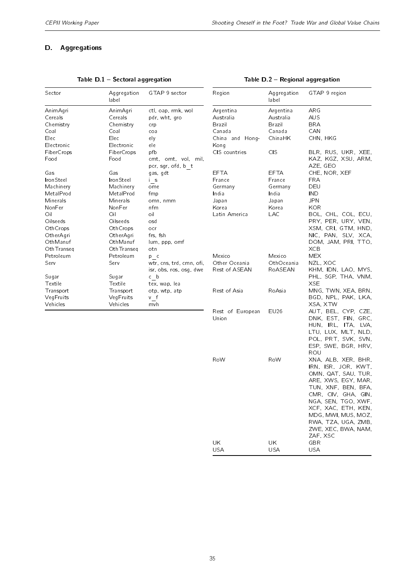#### <span id="page-34-0"></span>D. Aggregations

| Sector                  | Aggregation<br>label    | GTAP 9 sector                             | Region           | Aggregation<br>label | GTAP 9 region                              |
|-------------------------|-------------------------|-------------------------------------------|------------------|----------------------|--------------------------------------------|
| AnimAgri                | AnimAgri                | ctl, oap, rmk, wol                        | Argentina        | Argentina            | ARG                                        |
| Cereals                 | Cereals                 | pdr, wht, gro                             | Australia        | Australia            | AUS                                        |
| Chemistry               | Chemistry               | crp                                       | Brazil           | Brazil               | <b>BRA</b>                                 |
| Coal                    | Coal                    | coa                                       | Canada           | Canada               | CAN                                        |
| Elec                    | Elec                    | ely                                       | China and Hong-  | ChinaHK              | CHN, HKG                                   |
| Electronic              | Electronic              | ele                                       | Kong             |                      |                                            |
| FiberCrops              | FiberCrops              | pfb                                       | CIS countries    | <b>CIS</b>           | BLR, RUS, UKR, XEE,                        |
| Food                    | Food                    | cmt, omt, vol, mil,<br>pcr, sgr, ofd, b t |                  |                      | KAZ, KGZ, XSU, ARM,<br>AZE, GEO            |
| Gas                     | Gas                     | gas, gdt                                  | <b>EFTA</b>      | <b>EFTA</b>          | CHE, NOR, XEF                              |
| IronSteel               | IronSteel               | i s                                       | France           | France               | <b>FRA</b>                                 |
| Machinery               | Machinery               | ome                                       | Germany          | Germany              | DEU                                        |
| MetalProd               | MetalProd               | fmp                                       | India            | India                | <b>IND</b>                                 |
| Minerals                | Minerals                | omn, nmm                                  | Japan            | Japan                | JPN                                        |
| NonFer                  | NonFer                  | nfm                                       | Korea            | Korea                | KOR                                        |
| Oil                     | Oil                     | oil                                       | Latin America    | <b>LAC</b>           | BOL, CHL, COL, ECU,                        |
| Oilseeds                | Oilseeds                | osd                                       |                  |                      | PRY, PER, URY, VEN,                        |
| OthCrops                | OthCrops                | ocr                                       |                  |                      | XSM, CRI, GTM, HND,                        |
| OtherAgri               | OtherAgri               | frs, fsh                                  |                  |                      | NIC, PAN, SLV, XCA,                        |
| OthManuf                | OthManuf                | lum, ppp, omf                             |                  |                      | DOM, JAM, PRI, TTO,                        |
| OthTranseg<br>Petroleum | OthTranseg<br>Petroleum | otn                                       | Mexico           | Mexico               | <b>XCB</b><br><b>MEX</b>                   |
| Serv                    | Serv                    | $p_{c}$<br>wtr, cns, trd, cmn, ofi,       | Other Oceania    | OthOceania           | NZL, XOC                                   |
|                         |                         | isr, obs, ros, osg, dwe                   | Rest of ASEAN    | RoASEAN              | KHM, IDN, LAO, MYS,                        |
| Sugar                   | Sugar                   | c b                                       |                  |                      | PHL, SGP, THA, VNM,                        |
| Textile                 | Textile                 | tex, wap, lea                             |                  |                      | <b>XSE</b>                                 |
| Transport               | Transport               | otp, wtp, atp                             | Rest of Asia     | RoAsia               | MNG, TWN, XEA, BRN,                        |
| VegFruits               | VegFruits               | v f                                       |                  |                      | BGD, NPL, PAK, LKA,                        |
| Vehicles                | Vehicles                | mvh                                       |                  |                      | XSA, XTW                                   |
|                         |                         |                                           | Rest of European | EU26                 | AUT, BEL, CYP, CZE,                        |
|                         |                         |                                           | Union            |                      | DNK, EST, FIN, GRC,                        |
|                         |                         |                                           |                  |                      | HUN, IRL, ITA, LVA,                        |
|                         |                         |                                           |                  |                      | LTU, LUX, MLT, NLD,                        |
|                         |                         |                                           |                  |                      | POL, PRT, SVK, SVN,                        |
|                         |                         |                                           |                  |                      | ESP, SWE, BGR, HRV,                        |
|                         |                         |                                           |                  |                      | ROU                                        |
|                         |                         |                                           | RoW              | RoW                  | XNA, ALB, XER, BHR,                        |
|                         |                         |                                           |                  |                      | IRN, ISR, JOR, KWT,                        |
|                         |                         |                                           |                  |                      | OMN, QAT, SAU, TUR,                        |
|                         |                         |                                           |                  |                      | ARE, XWS, EGY, MAR,                        |
|                         |                         |                                           |                  |                      | TUN, XNF, BEN, BFA,                        |
|                         |                         |                                           |                  |                      | CMR, CIV, GHA, GIN,                        |
|                         |                         |                                           |                  |                      | NGA, SEN, TGO, XWF,                        |
|                         |                         |                                           |                  |                      | XCF, XAC, ETH, KEN,<br>MDG, MWI, MUS, MOZ, |
|                         |                         |                                           |                  |                      | RWA, TZA, UGA, ZMB,                        |
|                         |                         |                                           |                  |                      | ZWE, XEC, BWA, NAM,                        |
|                         |                         |                                           |                  |                      | ZAF, XSC                                   |
|                         |                         |                                           | UK               | UK                   | $\mathsf{GBR}$                             |
|                         |                         |                                           | <b>USA</b>       | USA                  | USA                                        |
|                         |                         |                                           |                  |                      |                                            |
|                         |                         |                                           |                  |                      |                                            |

#### Table  $D.1$  - Sectoral aggregation

#### Table D.2 - Regional aggregation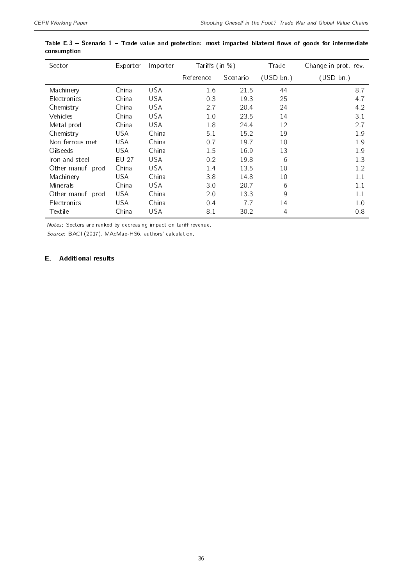| Sector           | Exporter   | Importer   | Tariffs (in $\%$ ) |          | Trade     | Change in prot rev. |
|------------------|------------|------------|--------------------|----------|-----------|---------------------|
|                  |            |            | Reference          | Scenario | (USD bn.) | (USD bn.)           |
| Machinery        | China      | <b>USA</b> | 1.6                | 21.5     | 44        | 8.7                 |
| Electronics      | China      | USA        | 0.3                | 19.3     | 25        | 4.7                 |
| Chemistry        | China      | <b>USA</b> | 2.7                | 20.4     | 24        | 4.2                 |
| Vehicles         | China      | <b>USA</b> | 1.0                | 23.5     | 14        | 3.1                 |
| Metal prod.      | China      | <b>USA</b> | 1.8                | 24.4     | 12        | 2.7                 |
| Chemistry        | <b>USA</b> | China      | 5.1                | 15.2     | 19        | 1.9                 |
| Non ferrous met. | <b>USA</b> | China      | 0.7                | 19.7     | 10        | 1.9                 |
| Oilseeds         | USA        | China      | 1.5                | 16.9     | 13        | 1.9                 |
| Iron and steel   | EU 27      | <b>USA</b> | 0.2                | 19.8     | 6         | 1.3                 |
| Other manuf prod | China      | <b>USA</b> | 1.4                | 13.5     | 10        | 1.2                 |
| Machinery        | USA        | China      | 3.8                | 14.8     | 10        | 1.1                 |
| Minerals         | China      | <b>USA</b> | 3.0                | 20.7     | 6         | 1.1                 |
| Other manuf prod | USA        | China      | 2.0                | 13.3     | 9         | 1.1                 |
| Electronics      | USA        | China      | 0.4                | 7.7      | 14        | 1.0                 |
| <b>Textile</b>   | China      | USA        | 8.1                | 30.2     | 4         | 0.8                 |

<span id="page-35-1"></span>

|             | Table E.3 – Scenario 1 – Trade value and protection: most impacted bilateral flows of goods for intermediate |  |  |  |  |  |
|-------------|--------------------------------------------------------------------------------------------------------------|--|--|--|--|--|
| consumption |                                                                                                              |  |  |  |  |  |

Notes: Sectors are ranked by decreasing impact on tariff revenue.

Source: BACI (2017), MAcMap-HS6, authors' calculation.

#### <span id="page-35-0"></span>E. Additional results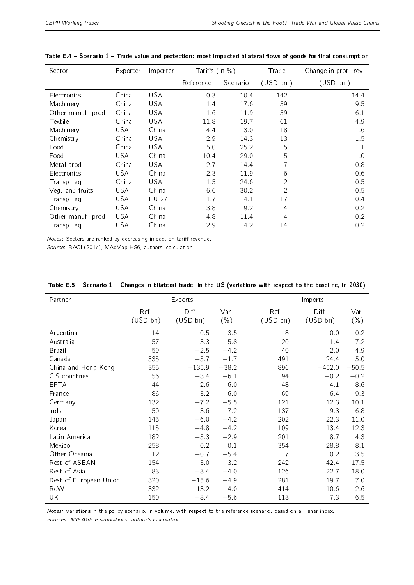| Sector           | Exporter   | Importer   | Tariffs $(in %)$ |          | Trade          | Change in prot rev |
|------------------|------------|------------|------------------|----------|----------------|--------------------|
|                  |            |            | Reference        | Scenario | (USD bn.)      | (USD bn.)          |
| Electronics      | China      | <b>USA</b> | 0.3              | 10.4     | 142            | 14.4               |
| Machinery        | China      | USA        | 1.4              | 17.6     | 59             | 9.5                |
| Other manuf prod | China      | <b>USA</b> | 1.6              | 11.9     | 59             | 6.1                |
| Textile          | China      | <b>USA</b> | 11.8             | 19.7     | 61             | 4.9                |
| Machinery        | <b>USA</b> | China      | 4.4              | 13.0     | 18             | 1.6                |
| Chemistry        | China      | <b>USA</b> | 2.9              | 14.3     | 13             | 1.5                |
| Food             | China      | <b>USA</b> | 5.0              | 25.2     | 5              | 1.1                |
| Food             | <b>USA</b> | China      | 10.4             | 29.0     | 5              | 1.0                |
| Metal prod.      | China      | <b>USA</b> | 2.7              | 14.4     | 7              | 0.8                |
| Electronics      | USA        | China      | 2.3              | 11.9     | 6              | 0.6                |
| Transp. eq.      | China      | <b>USA</b> | 1.5              | 24.6     | 2              | 0.5                |
| Veg and fruits   | USA        | China      | 6.6              | 30.2     | $\overline{2}$ | 0.5                |
| Transp eq.       | USA.       | EU 27      | 1.7              | 4.1      | 17             | 0.4                |
| Chemistry        | USA        | China      | 3.8              | 9.2      | 4              | 0.2                |
| Other manuf prod | USA.       | China      | 4.8              | 11.4     | 4              | 0.2                |
| Transpeq         | USA        | China      | 2.9              | 4.2      | 14             | 0.2                |

#### Table E.4 - Scenario  $1$  - Trade value and protection: most impacted bilateral flows of goods for final consumption

Notes: Sectors are ranked by decreasing impact on tariff revenue.

Source: BACI (2017), MAcMap-HS6, authors' calculation.

| Partner                |          | Exports  |         | Imports                         |  |
|------------------------|----------|----------|---------|---------------------------------|--|
|                        | Ref.     | Diff.    | Var.    | Ref.<br>Diff.<br>Var.           |  |
|                        | (USD bn) | (USD bn) | $(\% )$ | (USD bn)<br>(USD bn)<br>$(\% )$ |  |
| Argentina              | 14       | $-0.5$   | $-3.5$  | 8<br>$-0.2$<br>$-0.0$           |  |
| Australia              | 57       | $-3.3$   | $-5.8$  | 20<br>7.2<br>1.4                |  |
| <b>Brazil</b>          | 59       | $-2.5$   | $-4.2$  | 40<br>2.0<br>4.9                |  |
| Canada                 | 335      | $-5.7$   | $-1.7$  | 491<br>5.0<br>24.4              |  |
| China and Hong-Kong    | 355      | $-135.9$ | $-38.2$ | $-50.5$<br>$-452.0$<br>896      |  |
| CIS countries          | 56       | $-3.4$   | $-6.1$  | $-0.2$<br>$-0.2$<br>94          |  |
| <b>EFTA</b>            | 44       | $-2.6$   | $-6.0$  | 8.6<br>48<br>4.1                |  |
| France                 | 86       | $-5.2$   | $-6.0$  | 69<br>6.4<br>9.3                |  |
| Germany                | 132      | $-7.2$   | $-5.5$  | 10.1<br>121<br>12.3             |  |
| India                  | 50       | $-3.6$   | $-7.2$  | 9.3<br>6.8<br>137               |  |
| Japan                  | 145      | $-6.0$   | $-4.2$  | 202<br>22.3<br>11.0             |  |
| Korea                  | 115      | $-4.8$   | $-4.2$  | 109<br>13.4<br>12.3             |  |
| Latin America          | 182      | $-5.3$   | $-2.9$  | 201<br>8.7<br>4.3               |  |
| Mexico                 | 258      | 0.2      | 0.1     | 354<br>28.8<br>8.1              |  |
| Other Oceania          | 12       | $-0.7$   | $-5.4$  | $\overline{7}$<br>0.2<br>3.5    |  |
| Rest of ASEAN          | 154      | $-5.0$   | $-3.2$  | 42.4<br>17.5<br>242             |  |
| Rest of Asia           | 83       | $-3.4$   | $-4.0$  | 22.7<br>126<br>18.0             |  |
| Rest of European Union | 320      | $-15.6$  | $-4.9$  | 19.7<br>7.0<br>281              |  |
| RoW                    | 332      | $-13.2$  | $-4.0$  | 10.6<br>414<br>2.6              |  |
| UK                     | 150      | $-8.4$   | $-5.6$  | 113<br>7.3<br>6.5               |  |

#### <span id="page-36-0"></span>Table E.5 - Scenario  $1$  - Changes in bilateral trade, in the US (variations with respect to the baseline, in 2030)

Notes: Variations in the policy scenario, in volume, with respect to the reference scenario, based on a Fisher index. Sources: MIRAGE-e simulations, author's calculation.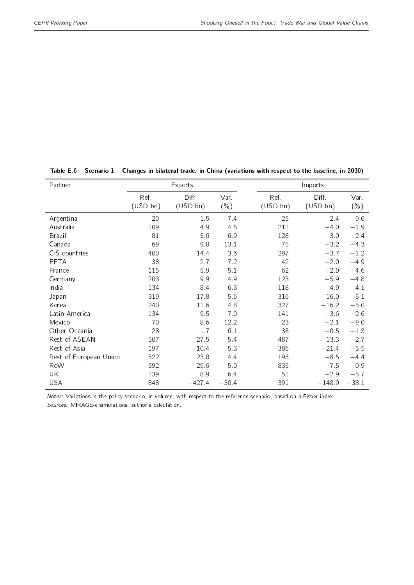| Partner                |                 | Exports           |                 |                  | Imports           |                 |  |  |
|------------------------|-----------------|-------------------|-----------------|------------------|-------------------|-----------------|--|--|
|                        | Ref<br>(USD bn) | Diff.<br>(USD bn) | Var.<br>$(\% )$ | Ref.<br>(USD bn) | Diff.<br>(USD bn) | Var.<br>$(\% )$ |  |  |
| Argentina              | 20              | 1.5               | 7.4             | 25               | 2.4               | 9.6             |  |  |
| Australia              | 109             | 4.9               | 4.5             | 211              | $-4.0$            | $-1.9$          |  |  |
| <b>Brazil</b>          | 81              | 5.6               | 6.9             | 128              | 3.0               | 2.4             |  |  |
| Canada                 | 69              | 9.0               | 13.1            | 75               | $-3.2$            | $-4.3$          |  |  |
| CIS countries          | 400             | 14.4              | 3.6             | 297              | $-3.7$            | $-1.2$          |  |  |
| <b>EFTA</b>            | 38              | 2.7               | 7.2             | 42               | $-2.0$            | $-4.9$          |  |  |
| France                 | 115             | 5.9               | 5.1             | 62               | $-2.9$            | $-4.6$          |  |  |
| Germany                | 203             | 9.9               | 4.9             | 123              | $-5.9$            | $-4.8$          |  |  |
| India                  | 134             | 8.4               | 6.3             | 118              | $-4.9$            | $-4.1$          |  |  |
| Japan                  | 319             | 17.8              | 5.6             | 316              | $-16.0$           | $-5.1$          |  |  |
| Korea                  | 240             | 11.6              | 4.8             | 327              | $-16.2$           | $-5.0$          |  |  |
| Latin America          | 134             | 9.5               | 7.0             | 141              | $-3.6$            | $-2.6$          |  |  |
| Mexico                 | 70              | 8.6               | 12.2            | 23               | $-2.1$            | $-9.0$          |  |  |
| Other Oceania          | 28              | 1.7               | 6.1             | 38               | $-0.5$            | $-1.3$          |  |  |
| Rest of ASEAN          | 507             | 27.5              | 5.4             | 487              | $-13.3$           | $-2.7$          |  |  |
| Rest of Asia           | 197             | 10.4              | 5.3             | 386              | $-21.4$           | $-5.5$          |  |  |
| Rest of European Union | 522             | 23.0              | 4.4             | 193              | $-8.5$            | $-4.4$          |  |  |
| RoW                    | 592             | 29.6              | 5.0             | 835              | $-7.5$            | $-0.9$          |  |  |
| UK                     | 139             | 8.9               | 6.4             | 51               | $-2.9$            | $-5.7$          |  |  |
| <b>USA</b>             | 848             | $-427.4$          | $-50.4$         | 391              | $-148.9$          | $-38.1$         |  |  |

<span id="page-37-0"></span>Table E.6 - Scenario 1 - Changes in bilateral trade, in China (variations with respect to the baseline, in 2030)

Notes: Variations in the policy scenario, in volume, with respect to the reference scenario, based on a Fisher index. Sources: MIRAGE-e simulations, author's calculation.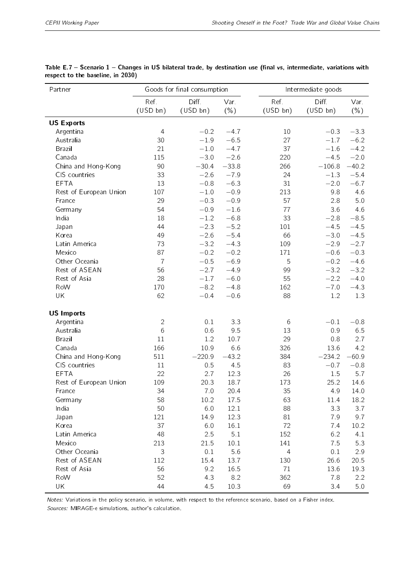| Partner                |                | Goods for final consumption |         |                | Intermediate goods |         |  |  |
|------------------------|----------------|-----------------------------|---------|----------------|--------------------|---------|--|--|
|                        | Ref.           | Diff.                       | Var     | Ref.           | Diff.              | Var.    |  |  |
|                        | (USD bh)       | (USD bn)                    | $(\% )$ | (USD bn)       | (USD bh)           | $(\% )$ |  |  |
| <b>US Exports</b>      |                |                             |         |                |                    |         |  |  |
| Argentina              | $\overline{4}$ | $-0.2$                      | $-4.7$  | 10             | $-0.3$             | $-3.3$  |  |  |
| Australia              | 30             | $-1.9$                      | $-6.5$  | 27             | $-1.7$             | $-6.2$  |  |  |
| Brazil                 | 21             | $-1.0$                      | $-4.7$  | 37             | $-1.6$             | $-4.2$  |  |  |
| Canada                 | 115            | $-3.0$                      | $-2.6$  | 220            | $-4.5$             | $-2.0$  |  |  |
| China and Hong-Kong    | 90             | $-30.4$                     | $-33.8$ | 266            | $-106.8$           | $-40.2$ |  |  |
| CIS countries          | 33             | $-2.6$                      | $-7.9$  | 24             | $-1.3$             | $-5.4$  |  |  |
| EFTA                   | 13             | $-0.8$                      | $-6.3$  | 31             | $-2.0$             | $-6.7$  |  |  |
| Rest of European Union | 107            | $-1.0$                      | $-0.9$  | 213            | 9.8                | 4.6     |  |  |
| France                 | 29             | $-0.3$                      | $-0.9$  | 57             | 2.8                | 5.0     |  |  |
| Germany                | 54             | $-0.9$                      | $-1.6$  | 77             | 3.6                | 4.6     |  |  |
| India                  | 18             | $-1.2$                      | $-6.8$  | 33             | $-2.8$             | $-8.5$  |  |  |
| Japan                  | 44             | $-2.3$                      | $-5.2$  | 101            | $-4.5$             | $-4.5$  |  |  |
| Korea                  | 49             | $-2.6$                      | $-5.4$  | 66             | $-3.0$             | $-4.5$  |  |  |
| Latin America          | 73             | $-3.2$                      | $-4.3$  | 109            | $-2.9$             | $-2.7$  |  |  |
| Mexico                 | 87             | $-0.2$                      | $-0.2$  | 171            | $-0.6$             | $-0.3$  |  |  |
| Other Oceania          | $\overline{7}$ | $-0.5$                      | $-6.9$  | 5              | $-0.2$             | $-4.6$  |  |  |
| Rest of ASEAN          | 56             | $-2.7$                      | $-4.9$  | 99             | $-3.2$             | $-3.2$  |  |  |
| Rest of Asia           | 28             | $-1.7$                      | $-6.0$  | 55             | $-2.2$             | $-4.0$  |  |  |
| RoW                    | 170            | $-8.2$                      | $-4.8$  | 162            | $-7.0$             | $-4.3$  |  |  |
| UK                     | 62             | $-0.4$                      | $-0.6$  | 88             | 1.2                | 1.3     |  |  |
| <b>US Imports</b>      |                |                             |         |                |                    |         |  |  |
| Argentina              | $\mathbf{2}$   | 0.1                         | 3.3     | 6              | $-0.1$             | $-0.8$  |  |  |
| Australia              | 6              | 0.6                         | 9.5     | 13             | 0.9                | 6.5     |  |  |
| Brazil                 | 11             | 1.2                         | 10.7    | 29             | 0.8                | 2.7     |  |  |
| Canada                 | 166            | 10.9                        | 6.6     | 326            | 13.6               | 4.2     |  |  |
| China and Hong-Kong    | 511            | $-220.9$                    | $-43.2$ | 384            | $-234.2$           | $-60.9$ |  |  |
| CIS countries          | 11             | 0.5                         | 4.5     | 83             | $-0.7$             | $-0.8$  |  |  |
| <b>EFTA</b>            | 22             | 2.7                         | 12.3    | 26             | 1.5                | 5.7     |  |  |
| Rest of European Union | 109            | 20.3                        | 18.7    | 173            | 25.2               | 14.6    |  |  |
| France                 | 34             | 7.0                         | 20.4    | 35             | 4.9                | 14.0    |  |  |
| Germany                | 58             | 10.2                        | 17.5    | 63             | 11.4               | 18.2    |  |  |
| India                  | 50             | $6.0\,$                     | 12.1    | 88             | 3.3                | 3.7     |  |  |
| Japan                  | 121            | 14.9                        | 12.3    | 81             | 7.9                | 9.7     |  |  |
| Korea                  | 37             | 6.0                         | 16.1    | 72             | 7.4                | 10.2    |  |  |
| Latin America          | 48             | 2.5                         | 5.1     | 152            | 6.2                | 4.1     |  |  |
| Mexico                 | 213            | 21.5                        | 10.1    | 141            | 7.5                | 5.3     |  |  |
| Other Oceania          | 3              | $0.1\,$                     | 5.6     | $\overline{4}$ | 0.1                | 2.9     |  |  |
| Rest of ASEAN          | 112            | 15.4                        | 13.7    | 130            | 26.6               | 20.5    |  |  |
| Rest of Asia           | 56             | 9.2                         | 16.5    | 71             | 13.6               | 19.3    |  |  |
| RoW                    | 52             | 4.3                         | 8.2     | 362            | 7.8                | 2.2     |  |  |
| UK                     | 44             | 4.5                         | 10.3    | 69             | 3.4                | 5.0     |  |  |

<span id="page-38-0"></span>Table E.7 - Scenario 1 - Changes in US bilateral trade, by destination use (final vs, intermediate, variations with respect to the baseline, in 2030)

Notes: Variations in the policy scenario, in volume, with respect to the reference scenario, based on a Fisher index. Sources: MIRAGE-e simulations, author's calculation.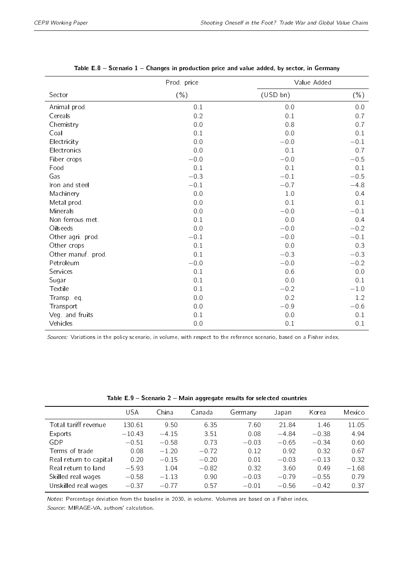<span id="page-39-0"></span>

|                    | Prod price |          | Value Added |
|--------------------|------------|----------|-------------|
| Sector             | $(\% )$    | (USD bn) | $(\% )$     |
| Animal prod.       | 0.1        | 0.0      | 0.0         |
| Cereals            | 0.2        | 0.1      | 0.7         |
| Chemistry          | 0.0        | 0.8      | 0.7         |
| Coal               | 0.1        | 0.0      | 0.1         |
| Electricity        | 0.0        | $-0.0$   | $-0.1$      |
| Electronics        | 0.0        | 0.1      | 0.7         |
| Fiber crops        | $-0.0$     | $-0.0$   | $-0.5$      |
| Food               | 0.1        | 0.1      | 0.1         |
| Gas                | $-0.3$     | $-0.1$   | $-0.5$      |
| Iron and steel     | $-0.1$     | $-0.7$   | $-4.8$      |
| Machinery          | 0.0        | 1.0      | 0.4         |
| Metal prod.        | 0.0        | 0.1      | 0.1         |
| Minerals           | 0.0        | $-0.0$   | $-0.1$      |
| Non ferrous met.   | 0.1        | 0.0      | 0.4         |
| Oilseeds           | 0.0        | $-0.0$   | $-0.2$      |
| Other agri prod.   | $-0.1$     | $-0.0$   | $-0.1$      |
| Other crops        | 0.1        | 0.0      | 0.3         |
| Other manuf. prod. | 0.1        | $-0.3$   | $-0.3$      |
| Petroleum          | $-0.0$     | $-0.0$   | $-0.2$      |
| Services           | 0.1        | 0.6      | 0.0         |
| Sugar              | 0.1        | 0.0      | 0.1         |
| Textile            | 0.1        | $-0.2$   | $-1.0\,$    |
| Transp. eq.        | 0.0        | 0.2      | 1.2         |
| Transport          | 0.0        | $-0.9$   | $-0.6$      |
| Veg. and fruits    | 0.1        | 0.0      | 0.1         |
| Vehicles           | 0.0        | 0.1      | 0.1         |

|  |  |  | Table E.8 – Scenario 1 – Changes in production price and value added, by sector, in Germany |  |  |  |  |
|--|--|--|---------------------------------------------------------------------------------------------|--|--|--|--|
|  |  |  |                                                                                             |  |  |  |  |

Sources: Variations in the policy scenario, in volume, with respect to the reference scenario, based on a Fisher index.

<span id="page-39-1"></span>

|                        | USA      | China   | Canada  | Germany | Japan   | Korea   | Mexico  |
|------------------------|----------|---------|---------|---------|---------|---------|---------|
| Total tariff revenue   | 130.61   | 9.50    | 6.35    | 7.60    | 21.84   | 1.46    | 11.05   |
| Exports                | $-10.43$ | $-4.15$ | 3.51    | 0.08    | $-4.84$ | $-0.38$ | 4.94    |
| GDP                    | $-0.51$  | $-0.58$ | 0.73    | $-0.03$ | $-0.65$ | $-0.34$ | 0.60    |
| Terms of trade         | 0.08     | $-1.20$ | $-0.72$ | 0.12    | 0.92    | 0.32    | 0.67    |
| Real return to capital | 0.20     | $-0.15$ | $-0.20$ | 0.01    | $-0.03$ | $-0.13$ | 0.32    |
| Real return to land    | $-5.93$  | 1.04    | $-0.82$ | 0.32    | 3.60    | 0.49    | $-1.68$ |
| Skilled real wages     | $-0.58$  | $-1.13$ | 0.90    | $-0.03$ | $-0.79$ | $-0.55$ | 0.79    |
| Unskilled real wages   | $-0.37$  | $-0.77$ | 0.57    | $-0.01$ | $-0.56$ | $-0.42$ | 0.37    |

Table  $E.9$  - Scenario  $2$  - Main aggregate results for selected countries

Notes: Percentage deviation from the baseline in 2030, in volume. Volumes are based on a Fisher index.

Source: MIRAGE-VA, authors' calculation.